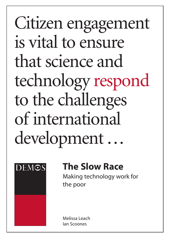# Citizen engagement is vital to ensure that science and technology respond to the challenges of international development ...



### **The Slow Race**

Making technology work for the poor

Melissa Leach Ian Scoones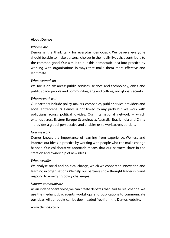### **About Demos**

#### *Who we are*

Demos is the think tank for everyday democracy. We believe everyone should be able to make personal choices in their daily lives that contribute to the common good. Our aim is to put this democratic idea into practice by working with organisations in ways that make them more effective and legitimate.

#### *What we work on*

We focus on six areas: public services; science and technology; cities and public space; people and communities; arts and culture; and global security.

#### *Who we work with*

Our partners include policy-makers, companies, public service providers and social entrepreneurs. Demos is not linked to any party but we work with politicians across political divides. Our international network – which extends across Eastern Europe, Scandinavia, Australia, Brazil, India and China – provides a global perspective and enables us to work across borders.

#### *How we work*

Demos knows the importance of learning from experience. We test and improve our ideas in practice by working with people who can make change happen. Our collaborative approach means that our partners share in the creation and ownership of new ideas.

#### *What we offer*

We analyse social and political change, which we connect to innovation and learning in organisations.We help our partners show thought leadership and respond to emerging policy challenges.

#### *How we communicate*

As an independent voice, we can create debates that lead to real change. We use the media, public events, workshops and publications to communicate our ideas. All our books can be downloaded free from the Demos website.

#### **www.demos.co.uk**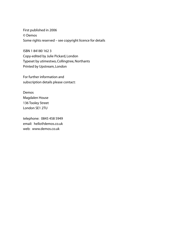First published in 2006 © Demos Some rights reserved – see copyright licence for details

ISBN 1 84180 162 3 Copy-edited by Julie Pickard, London Typeset by utimestwo, Collingtree, Northants Printed by Upstream, London

For further information and subscription details please contact:

Demos Magdalen House 136 Tooley Street London SE1 2TU

telephone: 0845 458 5949 email: hello@demos.co.uk web: www.demos.co.uk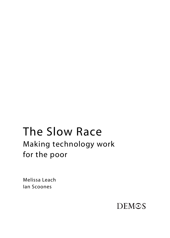# The Slow Race Making technology work for the poor

Melissa Leach Ian Scoones

**DEMOS**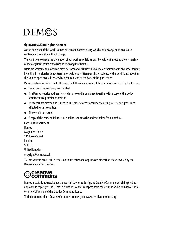# **DEMCS**

### **Open access. Some rights reserved.**

As the publisher of this work, Demos has an open access policy which enables anyone to access our content electronically without charge.

We want to encourage the circulation of our work as widely as possible without affecting the ownership of the copyright, which remains with the copyright holder.

Users are welcome to download, save, perform or distribute this work electronically or in any other format, including in foreign language translation, without written permission subject to the conditions set out in the Demos open access licence which you can read at the back of this publication.

Please read and consider the full licence.The following are some of the conditions imposed by the licence:

- Demos and the author(s) are credited
- The Demos website address (www.demos.co.uk) is published together with a copy of this policy statement in a prominent position
- The text is not altered and is used in full (the use of extracts under existing fair usage rights is not affected by this condition)
- The work is not resold
- $\bullet$  A copy of the work or link to its use online is sent to the address below for our archive.

Copyright Department Demos Magdalen House 136 Tooley Street London SE1 2TU United Kingdom copyright@demos.co.uk

You are welcome to ask for permission to use this work for purposes other than those covered by the Demos open access licence.

### **©Creative**<br>©Commons

Demos gratefully acknowledges the work of Lawrence Lessig and Creative Commons which inspired our approach to copyright.The Demos circulation licence is adapted from the 'attribution/no derivatives/noncommercial' version of the Creative Commons licence.

To find out more about Creative Commons licences go to www.creativecommons.org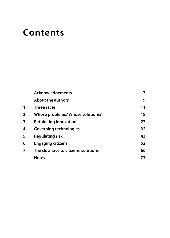# **Contents**

|    | <b>Acknowledgements</b>              | 7  |
|----|--------------------------------------|----|
|    | About the authors                    | 9  |
| 1. | Three races                          | 11 |
| 2. | Whose problems? Whose solutions?     | 18 |
| 3. | <b>Rethinking innovation</b>         | 27 |
| 4. | <b>Governing technologies</b>        | 32 |
| 5. | Regulating risk                      | 43 |
| 6. | <b>Engaging citizens</b>             | 52 |
| 7. | The slow race to citizens' solutions | 66 |
|    | <b>Notes</b>                         | 73 |
|    |                                      |    |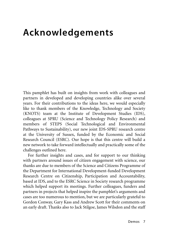### **Acknowledgements**

This pamphlet has built on insights from work with colleagues and partners in developed and developing countries alike over several years. For their contributions to the ideas here, we would especially like to thank members of the Knowledge, Technology and Society (KNOTS) team at the Institute of Development Studies (IDS), colleagues at SPRU (Science and Technology Policy Research) and members of STEPS (Social Technological and Environmental Pathways to Sustainability), our new joint IDS-SPRU research centre at the University of Sussex, funded by the Economic and Social Research Council (ESRC). Our hope is that this centre will build a new network to take forward intellectually and practically some of the challenges outlined here.

For further insights and cases, and for support to our thinking with partners around issues of citizen engagement with science, our thanks are due to members of the Science and Citizens Programme of the Department for International Development-funded Development Research Centre on Citizenship, Participation and Accountability, based at IDS, and to the ESRC Science in Society research programme which helped support its meetings. Further colleagues, funders and partners in projects that helped inspire the pamphlet's arguments and cases are too numerous to mention, but we are particularly grateful to Gordon Conway, Gary Kass and Andrew Scott for their comments on an early draft. Thanks also to Jack Stilgoe, James Wilsdon and the staff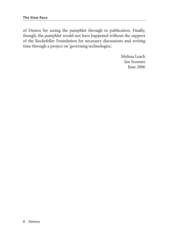of Demos for seeing the pamphlet through to publication. Finally, though, the pamphlet would not have happened without the support of the Rockefeller Foundation for necessary discussions and writing time through a project on 'governing technologies'.

> Melissa Leach Ian Scoones June 2006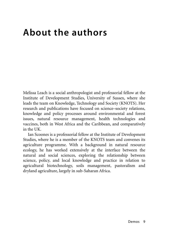### **About the authors**

Melissa Leach is a social anthropologist and professorial fellow at the Institute of Development Studies, University of Sussex, where she leads the team on Knowledge, Technology and Society (KNOTS). Her research and publications have focused on science–society relations, knowledge and policy processes around environmental and forest issues, natural resource management, health technologies and vaccines, both in West Africa and the Caribbean, and comparatively in the UK.

Ian Scoones is a professorial fellow at the Institute of Development Studies, where he is a member of the KNOTS team and convenes its agriculture programme. With a background in natural resource ecology, he has worked extensively at the interface between the natural and social sciences, exploring the relationship between science, policy, and local knowledge and practice in relation to agricultural biotechnology, soils management, pastoralism and dryland agriculture, largely in sub-Saharan Africa.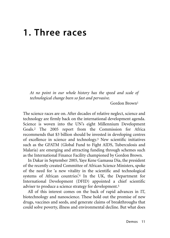### **1. Three races**

*At no point in our whole history has the speed and scale of technological change been so fast and pervasive.*

Gordon Brown1

The science races are on. After decades of relative neglect, science and technology are firmly back on the international development agenda. Science is woven into the UN's eight Millennium Development Goals.2 The 2005 report from the Commission for Africa recommends that \$3 billion should be invested in developing centres of excellence in science and technology.3 New scientific initiatives such as the GFATM (Global Fund to Fight AIDS, Tuberculosis and Malaria) are emerging and attracting funding through schemes such as the International Finance Facility championed by Gordon Brown.

In Dakar in September 2005, Yaye Kene Gamassa Dia, the president of the recently created Committee of African Science Ministers, spoke of the need for 'a new vitality in the scientific and technological systems of African countries'.4 In the UK, the Department for International Development (DFID) appointed a chief scientific adviser to produce a science strategy for development.5

All of this interest comes on the back of rapid advances in IT, biotechnology and nanoscience. These hold out the promise of new drugs, vaccines and seeds, and generate claims of breakthroughs that could solve poverty, illness and environmental decline. But what does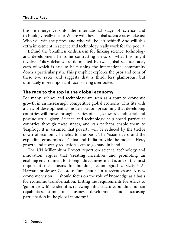this re-emergence onto the international stage of science and technology really mean? Where will these global science races take us? Who will win the prizes, and who will be left behind? And will this extra investment in science and technology really work for the poor?6

Behind the breathless enthusiasm for linking science, technology and development lie some contrasting views of what this might involve. Policy debates are dominated by two global science races, each of which is said to be pushing the international community down a particular path. This pamphlet explores the pros and cons of these two races and suggests that a third, less glamorous, but ultimately more important race is being overlooked.

### **The race to the top in the global economy**

For many, science and technology are seen as a spur to economic growth in an increasingly competitive global economy. This fits with a view of development as modernisation, presuming that developing countries will move through a series of stages towards industrial and postindustrial glory. Science and technology help speed particular countries through these stages, and can perhaps enable them to 'leapfrog'. It is assumed that poverty will be reduced by the trickle down of economic benefits to the poor. The 'Asian tigers' and the exploding economies of China and India provide the models. Here, growth and poverty reduction seem to go hand in hand.

The UN Millennium Project report on science, technology and innovation argues that 'creating incentives and promoting an enabling environment for foreign direct investment is one of the most important mechanisms for building technological capacity'.7 As Harvard professor Calestous Juma put it in a recent essay: 'A new economic vision . . . should focus on the role of knowledge as a basis for economic transformation.' Listing the requirements for Africa to 'go for growth', he identifies renewing infrastructure, building human capabilities, stimulating business development and increasing participation in the global economy.8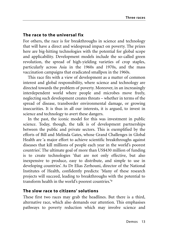### **The race to the universal fix**

For others, the race is for breakthroughs in science and technology that will have a direct and widespread impact on poverty. The prizes here are big-hitting technologies with the potential for global scope and applicability. Development models include the so-called green revolution, the spread of high-yielding varieties of crop staples, particularly across Asia in the 1960s and 1970s, and the mass vaccination campaigns that eradicated smallpox in the 1960s.

This race fits with a view of development as a matter of common interest and global responsibility, where science and technology are directed towards the problem of poverty. Moreover, in an increasingly interdependent world where people and microbes move freely, neglecting such development creates threats – whether in terms of the spread of disease, transborder environmental damage, or growing insecurities. It is thus in all our interests, it is argued, to invest in science and technology to avert these dangers.

In the past, the iconic model for this was investment in public science. Today, though, the talk is of development partnerships between the public and private sectors. This is exemplified by the efforts of Bill and Melinda Gates, whose Grand Challenges in Global Health are 'a major effort to achieve scientific breakthroughs against diseases that kill millions of people each year in the world's poorest countries'. The ultimate goal of more than US\$430 million of funding is to create technologies 'that are not only effective, but also inexpensive to produce, easy to distribute, and simple to use in developing countries'. As Dr Elias Zerhouni, director of the National Institutes of Health, confidently predicts: 'Many of these research projects will succeed, leading to breakthroughs with the potential to transform health in the world's poorest countries.'9

### **The slow race to citizens' solutions**

These first two races may grab the headlines. But there is a third, alternative race, which also demands our attention. This emphasises pathways to poverty reduction which may involve science and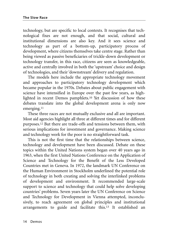technology, but are specific to local contexts. It recognises that technological fixes are not enough, and that social, cultural and institutional dimensions are also key. And it sees science and technology as part of a bottom-up, participatory process of development, where citizens themselves take centre stage. Rather than being viewed as passive beneficiaries of trickle-down development or technology transfer, in this race, citizens are seen as knowledgeable, active and centrally involved in both the 'upstream' choice and design of technologies, and their 'downstream' delivery and regulation.

The models here include the appropriate technology movement and approaches to participatory technology development which became popular in the 1970s. Debates about public engagement with science have intensified in Europe over the past few years, as highlighted in recent Demos pamphlets.10 Yet discussion of how these debates translate into the global development arena is only now emerging.11

These three races are not mutually exclusive and all are important. Most aid agencies highlight all three at different times and for different purposes.12 But there are trade-offs and tensions between them, with serious implications for investment and governance. Making science and technology work for the poor is no straightforward task.

This is not the first time that the relationships between science, technology and development have been discussed. Debate on these topics within the United Nations system began over 40 years ago in 1963, when the first United Nations Conference on the Application of Science and Technology for the Benefit of the Less Developed Countries met in Geneva. In 1972, the landmark UN Conference on the Human Environment in Stockholm underlined the potential role of technology in both creating and solving the interlinked problems of development and environment. It recommended large-scale support to science and technology that could help solve developing countries' problems. Seven years later the UN Conference on Science and Technology for Development in Vienna attempted, inconclusively, to reach agreement on global principles and institutional arrangements to guide and facilitate this.13 It established an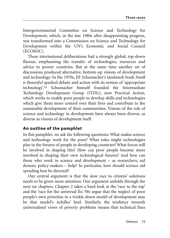Intergovernmental Committee on Science and Technology for Development, which, in the late 1980s after disappointing progress, was transformed into a Commission on Science and Technology for Development within the UN's Economic and Social Council (ECOSOC).

These international deliberations had a strongly global, top-down flavour, emphasising the transfer of technologies, resources and advice to poorer countries. But at the same time another set of discussions produced alternative, bottom-up visions of development and technology. In the 1970s, EF Schumacher's landmark book *Small is Beautiful* sparked debate and action with its notion of 'appropriate technology'.14 Schumacher himself founded the Intermediate Technology Development Group (ITDG), now Practical Action, which works to enable poor people to develop skills and technologies which give them more control over their lives and contribute to the sustainable development of their communities. Visions of the role of science and technology in development have always been diverse, as diverse as visions of development itself.

### **An outline of the pamphlet**

In this pamphlet, we ask the following questions: What makes science and technology work for the poor? What roles might technologies play in the futures of people in developing countries? What forces will be involved in shaping this? How can poor people become more involved in shaping their own technological futures? And how can those who work in science and development – as researchers, aid donors, policy-makers – help? In particular, how should science aid spending best be directed?

Our central argument is that the slow race to citizens' solutions needs to be given more attention. Our argument unfolds through the next six chapters. Chapter 2 takes a hard look at the 'race to the top' and the 'race for the universal fix'. We argue that the neglect of poor people's own priorities in a trickle-down model of development may be that model's Achilles' heel. Similarly, the tendency towards universalised views of poverty problems means that technical fixes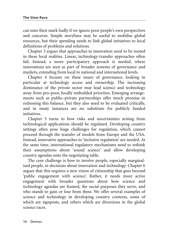can miss their mark badly if we ignore poor people's own perspectives and concerns. Simple storylines may be useful to mobilise global resources, but their spending needs to link global initiatives to local definitions of problems and solutions.

Chapter 3 argues that approaches to innovation need to be rooted in these local realities. Linear, technology-transfer approaches often fail. Instead, a more participatory approach is needed, where innovations are seen as part of broader systems of governance and markets, extending from local to national and international levels.

Chapter 4 focuses on these issues of governance, looking in particular at technology access and ownership. The increasing dominance of the private sector may lead science and technology away from pro-poor, locally embedded priorities. Emerging arrangements such as public–private partnerships offer much promise in redressing this balance, but they also need to be evaluated critically, and in many instances are no substitute for publicly funded initiatives.

Chapter 5 turns to how risks and uncertainties arising from technological applications should be regulated. Developing country settings often pose huge challenges for regulation, which cannot proceed through the transfer of models from Europe and the USA. Instead, innovative approaches to 'inclusive regulation' are needed. At the same time, international regulatory mechanisms need to rethink their assumptions about 'sound science' and allow developing country agendas onto the negotiating table.

The core challenge is how to involve people, especially marginalised people, in decisions about innovation and technology. Chapter 6 argues that this requires a new vision of citizenship that goes beyond 'public engagement with science'. Rather, it needs more active engagement with broader questions about how science and technology agendas are framed, the social purposes they serve, and who stands to gain or lose from these. We offer several examples of science and technology in developing country contexts, some of which are signposts, and others which are diversions in the global science races.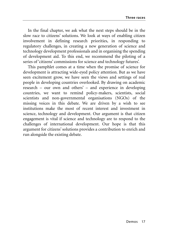In the final chapter, we ask what the next steps should be in the slow race to citizens' solutions. We look at ways of enabling citizen involvement in defining research priorities, in responding to regulatory challenges, in creating a new generation of science and technology development professionals and in organising the spending of development aid. To this end, we recommend the piloting of a series of 'citizens' commissions for science and technology futures'.

This pamphlet comes at a time when the promise of science for development is attracting wide-eyed policy attention. But as we have seen excitement grow, we have seen the views and settings of real people in developing countries overlooked. By drawing on academic research – our own and others' – and experience in developing countries, we want to remind policy-makers, scientists, social scientists and non-governmental organisations (NGOs) of the missing voices in this debate. We are driven by a wish to see institutions make the most of recent interest and investment in science, technology and development. Our argument is that citizen engagement is vital if science and technology are to respond to the challenges of international development. Our hope is that this argument for citizens' solutions provides a contribution to enrich and run alongside the existing debate.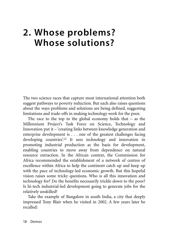### **2. Whose problems? Whose solutions?**

The two science races that capture most international attention both suggest pathways to poverty reduction. But each also raises questions about the ways problems and solutions are being defined, suggesting limitations and trade-offs in making technology work for the poor.

The race to the top in the global economy holds that  $-$  as the Millennium Project's Task Force on Science, Technology and Innovation put it – 'creating links between knowledge generation and enterprise development is . . . one of the greatest challenges facing developing countries'.<sup>15</sup> It sees technology and innovation in promoting industrial production as the basis for development, enabling countries to move away from dependence on natural resource extraction. In the African context, the Commission for Africa recommended the establishment of a network of centres of excellence within Africa to help the continent catch up and keep up with the pace of technology-led economic growth. But this hopeful vision raises some tricky questions. Who is all this innovation and technology for? Do the benefits necessarily trickle down to the poor? Is hi-tech industrial-led development going to generate jobs for the relatively unskilled?

Take the example of Bangalore in south India, a city that deeply impressed Tony Blair when he visited in 2002. A few years later he recalled: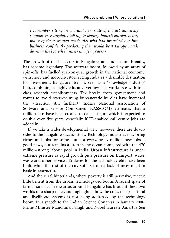*I remember sitting in a brand-new state-of-the-art university complex in Bangalore, talking to leading biotech entrepreneurs, many of them women academics who had branched out into business, confidently predicting they would beat Europe hands down in the biotech business in a few years.*16

The growth of the IT sector in Bangalore, and India more broadly, has become legendary. The software boom, followed by an array of spin-offs, has fuelled year-on-year growth in the national economy, with more and more investors seeing India as a desirable destination for investment. Bangalore itself is seen as a 'knowledge industry' hub, combining a highly educated yet low-cost workforce with topclass research establishments. Tax breaks from government and routes to avoid overwhelming bureaucratic hurdles have increased the attraction still further.17 India's National Association of Software and Service Companies (NASSCOM) estimates that a million jobs have been created to date, a figure which is expected to double over five years, especially if IT-enabled call centre jobs are added in.

If we take a wider developmental view, however, there are downsides to the Bangalore success story. Technology industries may bring riches and jobs for some, but not everyone. A million new jobs is good news, but remains a drop in the ocean compared with the 470 million-strong labour pool in India. Urban infrastructure is under extreme pressure as rapid growth puts pressure on transport, water, waste and other services. Enclaves for the technology elite have been built, while the rest of the city suffers from a lack of investment in basic infrastructure.

And the rural hinterlands, where poverty is still pervasive, receive little benefit from the urban, technology-led boom. A recent spate of farmer suicides in the areas around Bangalore has brought these two worlds into sharp relief, and highlighted how the crisis in agricultural and livelihood systems is not being addressed by the technology boom. In a speech to the Indian Science Congress in January 2006, Prime Minister Manohman Singh and Nobel laureate Amartya Sen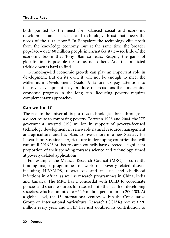both pointed to the need for balanced social and economic development and a science and technology thrust that meets the needs of the rural poor.18 In Bangalore the technology elite profit from the knowledge economy. But at the same time the broader populace – over 60 million people in Karnataka state – see little of the economic boom that Tony Blair so fears. Reaping the gains of globalisation is possible for some, not others. And the predicted trickle down is hard to find.

Technology-led economic growth can play an important role in development. But on its own, it will not be enough to meet the Millennium Development Goals. A failure to pay attention to inclusive development may produce repercussions that undermine economic progress in the long run. Reducing poverty requires complementary approaches.

### **Can we fix it?**

The race to the universal fix portrays technological breakthroughs as a direct route to combating poverty. Between 1995 and 2004, the UK government invested £190 million in support of poverty-focused technology development in renewable natural resource management and agriculture, and has plans to invest more in a new Strategy for Research on Sustainable Agriculture in developing countries that will run until 2016.19 British research councils have directed a significant proportion of their spending towards science and technology aimed at poverty-related applications.

For example, the Medical Research Council (MRC) is currently funding major programmes of work on poverty-related disease including HIV/AIDS, tuberculosis and malaria, and childhood infections in Africa, as well as research programmes in China, India and Jamaica. The MRC has a concordat with DFID to coordinate policies and share resources for research into the health of developing societies, which amounted to £22.5 million per annum in 2002/03. At a global level, the 15 international centres within the Consultative Group on International Agricultural Research (CGIAR) receive £220 million every year, and DFID has just doubled its contribution to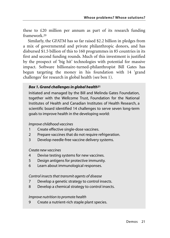these to £20 million per annum as part of its research funding framework.20

Similarly, the GFATM has so far raised \$2.2 billion in pledges from a mix of governmental and private philanthropic donors, and has disbursed \$1.5 billion of this to 160 programmes in 85 countries in its first and second funding rounds. Much of this investment is justified by the prospect of 'big hit' technologies with potential for massive impact. Software billionaire-turned-philanthropist Bill Gates has begun targeting the money in his foundation with 14 'grand challenges' for research in global health (see box 1).

### *Box 1. Grand challenges in global health***<sup>21</sup>**

Initiated and managed by the Bill and Melinda Gates Foundation, together with the Wellcome Trust, Foundation for the National Institutes of Health and Canadian Institutes of Health Research, a scientific board identified 14 challenges to serve seven long-term goals to improve health in the developing world:

### *Improve childhood vaccines*

- 1 Create effective single-dose vaccines.
- 2 Prepare vaccines that do not require refrigeration.
- 3 Develop needle-free vaccine delivery systems.

### *Create new vaccines*

- 4 Devise testing systems for new vaccines.
- 5 Design antigens for protective immunity.
- 6 Learn about immunological responses.

### *Control insects that transmit agents of disease*

- 7 Develop a genetic strategy to control insects.
- 8 Develop a chemical strategy to control insects.

### *Improve nutrition to promote health*

9 Create a nutrient-rich staple plant species.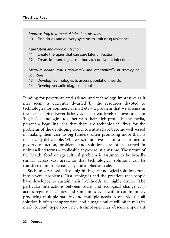*Improve drug treatment of infectious diseases*

10 Find drugs and delivery systems to limit drug resistance.

*Cure latent and chronic infection*

- 11 Create therapies that can cure latent infection.
- 12 Create immunological methods to cure latent infection.

*Measure health status accurately and economically in developing countries*

- 13 Develop technologies to assess population health.
- 14 Develop versatile diagnostic tools.

Funding for poverty-related science and technology, impressive as it may seem, is currently dwarfed by the resources devoted to technologies for commercial markets – a problem that we discuss in the next chapter. Nevertheless, even current levels of investment in 'big hit' technologies, together with their high profile in the media, present a beguiling idea that there are technological fixes for the problems of the developing world. Scientists have become well versed in making their case to big funders, often promising more than is realistically deliverable. Where such initiatives claim to be attuned to poverty reduction, problems and solutions are often framed in universalised terms – applicable anywhere, at any time. The nature of the health, food or agricultural problem is assumed to be broadly similar across vast areas, so that technological solutions can be transferred unproblematically and applied at scale.

Such universalised talk of 'big-hitting' technological solutions runs into several problems. First, ecologies and the practices that people have developed to sustain their livelihoods are highly diverse. The particular interactions between social and ecological change vary across regions, localities and sometimes even within communities, producing multiple patterns and multiple needs. A one-size-fits-all solution is often inappropriate, and a magic bullet will often miss its mark. Second, hype about new technologies may obscure important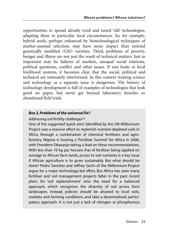opportunities to spread already tried and tested 'old' technologies, adapting these to particular local circumstances. So, for example, hybrid seeds, perhaps enhanced by biotechnological techniques of marker-assisted selection, may have more impact than untried genetically modified (GM) varieties. Third, problems of poverty, hunger and illness are not just the result of technical matters. Just as important may be failures of markets, unequal social relations, political questions, conflict and other issues. If one looks at local livelihood systems, it becomes clear that the social, political and technical are intimately intertwined. In this context treating science and technology as a separate issue is dangerous. The history of technology development is full of examples of technologies that look good on paper, but never get beyond laboratory benches or abandoned field trials.

### *Box 2. Problems of the universal fix?*

### *Addressing soil fertility challenges*<sup>22</sup>

One of the suggested 'quick wins' identified by the UN Millennium Project was a massive effort to replenish nutrient-depleted soils in Africa through a combination of chemical fertilisers and agroforestry. Nigeria is hosting a 'Fertiliser Summit' for Africa in 2006, with President Obasanjo taking a lead on these recommendations. With less than 10 kg per hectare (ha) of fertiliser being applied on average to African farm lands, access to soil nutrients is a key issue if African agriculture is to grow sustainably. But what should be done? Pedro Sanchez and Jeffrey Sachs of the Millennium Project argue for a major technology-led effort. But Africa has seen many fertiliser and soil management projects falter in the past. Grand plans for 'soil replenishment' miss the need for a balanced approach, which recognises the diversity of soil across farm landscapes. Instead, policies should be attuned to local soils, markets and farming conditions, and take a decentralised, participatory approach. It is not just a lack of nitrogen or phosphorous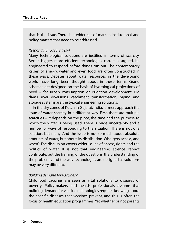that is the issue. There is a wider set of market, institutional and policy matters that need to be addressed.

### *Responding to scarcities*<sup>23</sup>

Many technological solutions are justified in terms of scarcity. Better, bigger, more efficient technologies can, it is argued, be engineered to respond before things run out. The contemporary 'crises' of energy, water and even food are often constructed in these ways. Debates about water resources in the developing world have long been thought about in these terms. Grand schemes are designed on the basis of hydrological projections of need – for urban consumption or irrigation development. Big dams, river diversions, catchment transformation, piping and storage systems are the typical engineering solutions.

In the dry zones of Kutch in Gujarat, India, farmers approach the issue of water scarcity in a different way. First, there are multiple scarcities – it depends on the place, the time and the purpose to which the water is being used. There is huge uncertainty and a number of ways of responding to the situation. There is not one solution, but many. And the issue is not so much about absolute amounts of water, but about its distribution. Who gets access, and when? The discussion covers wider issues of access, rights and the politics of water. It is not that engineering science cannot contribute, but the framing of the questions, the understanding of the problems, and the way technologies are designed as solutions may be very different.

### *Building demand for vaccines*<sup>24</sup>

Childhood vaccines are seen as vital solutions to diseases of poverty. Policy-makers and health professionals assume that building demand for vaccine technologies requires knowing about the specific diseases that vaccines prevent, and this is often the focus of health education programmes. Yet whether or not parents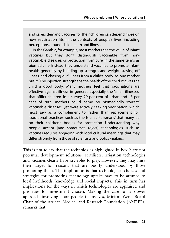and carers demand vaccines for their children can depend more on how vaccination fits in the contexts of people's lives, including perceptions around child health and illness.

In the Gambia, for example, most mothers see the value of infant vaccines but they don't distinguish vaccinable from nonvaccinable diseases, or protection from cure, in the same terms as biomedicine. Instead, they understand vaccines to promote infant health generally by building up strength and weight, staving off illness, and 'chasing out' illness from a child's body. As one mother put it:'The injection strengthens the health of the child. It gives the child a good body.' Many mothers feel that vaccinations are effective against illness in general, especially the 'small illnesses' that afflict children. In a survey, 29 per cent of urban and 48 per cent of rural mothers could name no biomedically 'correct' vaccinable diseases, yet were actively seeking vaccination, which most saw as a complement to, rather than replacement for, 'traditional' practices, such as the Islamic 'talismans' that many tie on their children's bodies for protection. Understanding why people accept (and sometimes reject) technologies such as vaccines requires engaging with local cultural meanings that may differ strongly from those of scientists and policy-makers.

This is not to say that the technologies highlighted in box 2 are not potential development solutions. Fertilisers, irrigation technologies and vaccines clearly have key roles to play. However, they may miss their target for reasons that are poorly understood by those promoting them. The implication is that technological choices and strategies for promoting technology uptake have to be attuned to local livelihoods, knowledge and social impacts. This in turn has implications for the ways in which technologies are appraised and priorities for investment chosen. Making the case for a slower approach involving poor people themselves, Miriam Were, Board Chair of the African Medical and Research Foundation (AMREF), remarks that: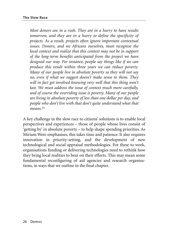*Most donors are in a rush. They are in a hurry to have results tomorrow, and they are in a hurry to define the specificity of projects. As a result, projects often ignore important contextual issues. Donors, and we Africans ourselves, must recognise the local context and realize that this context may not be in support of the long-term benefits anticipated from the project we have designed our way. For instance, people say things like if we can produce this result within three years we can reduce poverty. Many of our people live in absolute poverty so they will not say no, even if what we suggest doesn't make sense to them. They will in fact get involved knowing very well that this thing won't last. We must address the issue of context much more carefully, and of course the overriding issue is poverty. Many of our people are living in absolute poverty of less than one dollar per day, and people who don't live with that don't quite understand what that means.*25

A key challenge in the slow race to citizens' solutions is to enable local perspectives and experiences – those of people whose lives consist of 'getting by' in absolute poverty – to help shape spending priorities. As Miriam Were emphasises, this takes time and patience. It also requires innovation in priority-setting, and the development of new technological and social appraisal methodologies. For these to work, organisations funding or delivering technologies need to rethink how they bring local realities to bear on their efforts. This may mean some fundamental reconfiguring of aid agencies and research organisations, in ways that we outline in the final chapter.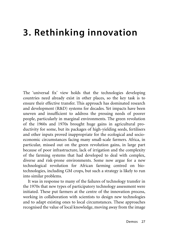### **3. Rethinking innovation**

The 'universal fix' view holds that the technologies developing countries need already exist in other places, so the key task is to ensure their effective transfer. This approach has dominated research and development (R&D) systems for decades. Yet impacts have been uneven and insufficient to address the pressing needs of poorer people, particularly in marginal environments. The green revolution of the 1960s and 1970s brought huge gains in agricultural productivity for some, but its packages of high-yielding seeds, fertilisers and other inputs proved inappropriate for the ecological and socioeconomic circumstances facing many small-scale farmers. Africa, in particular, missed out on the green revolution gains, in large part because of poor infrastructure, lack of irrigation and the complexity of the farming systems that had developed to deal with complex, diverse and risk-prone environments. Some now argue for a new technological revolution for African farming centred on biotechnologies, including GM crops, but such a strategy is likely to run into similar problems.

It was in response to many of the failures of technology transfer in the 1970s that new types of participatory technology assessment were initiated. These put farmers at the centre of the innovation process, working in collaboration with scientists to design new technologies and to adapt existing ones to local circumstances. These approaches recognised the value of local knowledge, moving away from the image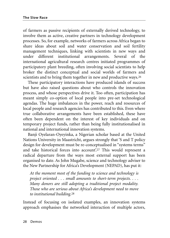of farmers as passive recipients of externally derived technology, to involve them as active, creative partners in technology development processes. So, for example, networks of farmers across Africa began to share ideas about soil and water conservation and soil fertility management techniques, linking with scientists in new ways and under different institutional arrangements. Several of the international agricultural research centres initiated programmes of participatory plant breeding, often involving social scientists to help broker the distinct conceptual and social worlds of farmers and scientists and to bring them together in new and productive ways.26

These participatory interactions have produced islands of success but have also raised questions about who controls the innovation process, and whose perspectives drive it. Too often, participation has meant simply co-option of local people into pre-set technological agendas. The huge imbalances in the power, reach and resources of local people and research agencies has contributed to this. Even where true collaborative arrangements have been established, these have often been dependent on the interest of key individuals and on temporary project funds, rather than being fully institutionalised in national and international innovation systems.

Banji Oyelaran-Oyeyinka, a Nigerian scholar based at the United Nations University in Maastricht, argues strongly that 'S and T policy design for development must be re-conceptualised in "systems terms" and take historical forces into account'.<sup>27</sup> This would represent a radical departure from the ways most external support has been organised to date. As John Mugabe, science and technology adviser to the New Partnership for Africa's Development (NEPAD), has put it:

*At the moment most of the funding to science and technology is project oriented . . . small amounts to short-term projects.... Many donors are still adopting a traditional project modality. Those who are serious about Africa's development need to move to institutional building.*28

Instead of focusing on isolated examples, an innovation systems approach emphasises the networked interaction of multiple actors,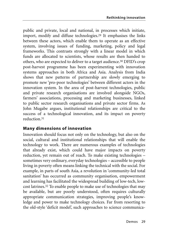public and private, local and national, in processes which initiate, import, modify and diffuse technologies.29 It emphasises the links between these actors, which enable them to operate as an effective system, involving issues of funding, marketing, policy and legal frameworks. This contrasts strongly with a linear model in which funds are allocated to scientists, whose results are then handed to others, who are expected to deliver to a target audience.30 DFID's crop post-harvest programme has been experimenting with innovation systems approaches in both Africa and Asia. Analysis from India shows that new patterns of partnership are slowly emerging to promote new 'pro-poor technologies' between different actors in the innovation system. In the area of post-harvest technologies, public and private research organisations are involved alongside NGOs, farmers' associations, processing and marketing businesses, linked to public sector research organisations and private sector firms. As John Mugabe argues, institutional relationships are critical to the success of a technological innovation, and its impact on poverty reduction.31

### **Many dimensions of innovation**

Innovation should focus not only on the technology, but also on the social, cultural and institutional relationships that will enable the technology to work. There are numerous examples of technologies that already exist, which could have major impacts on poverty reduction, yet remain out of reach. To make existing technologies – sometimes very ordinary, everyday technologies – accessible to people living in poverty often means linking the technical with the social. For example, in parts of south Asia, a revolution in 'community-led total sanitation' has occurred as community organisation, empowerment and learning has facilitated the widespread building of low-tech, lowcost latrines.32 To enable people to make use of technologies that may be available, but are poorly understood, often requires culturally appropriate communication strategies, improving people's knowledge and power to make technology choices. Far from resorting to the old-style 'deficit model', such approaches to science communica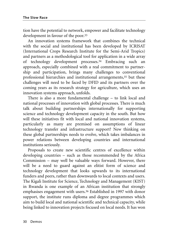tion have the potential to network, empower and facilitate technology development in favour of the poor.33

An innovation systems framework that combines the technical with the social and institutional has been developed by ICRISAT (International Crops Research Institute for the Semi-Arid Tropics) and partners as a methodological tool for application in a wide array of technology development processes.34 Embracing such an approach, especially combined with a real commitment to partnership and participation, brings many challenges to conventional professional hierarchies and institutional arrangements,<sup>35</sup> but these challenges will need to be faced by DFID and its partners over the coming years as its research strategy for agriculture, which uses an innovation systems approach, unfolds.

There is also a more fundamental challenge – to link local and national processes of innovation with global processes. There is much talk about building partnerships internationally for supporting science and technology development capacity in the south. But how will these initiatives fit with local and national innovation systems, particularly as many are premised on assumptions of linear technology transfer and infrastructure support? New thinking on these global partnerships needs to evolve, which takes imbalances in power relations between developing countries and international institutions seriously.

Proposals to create new scientific centres of excellence within developing countries – such as those recommended by the Africa Commission – may well be valuable ways forward. However, there will be a need to guard against an elitist form of science and technology development that looks upwards to its international funders and peers, rather than downwards to local contexts and users. The Kigali Institute for Science, Technology and Management (KIST) in Rwanda is one example of an African institution that strongly emphasises engagement with users.36 Established in 1997 with donor support, the institute runs diploma and degree programmes which aim to build local and national scientific and technical capacity, while being linked to innovation projects focused on local needs. It has won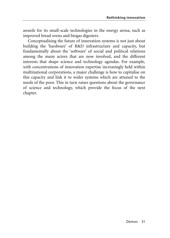awards for its small-scale technologies in the energy arena, such as improved bread ovens and biogas digesters.

Conceptualising the future of innovation systems is not just about building the 'hardware' of R&D infrastructure and capacity, but fundamentally about the 'software' of social and political relations among the many actors that are now involved, and the different interests that shape science and technology agendas. For example, with concentrations of innovation expertise increasingly held within multinational corporations, a major challenge is how to capitalise on this capacity and link it to wider systems which are attuned to the needs of the poor. This in turn raises questions about the governance of science and technology, which provide the focus of the next chapter.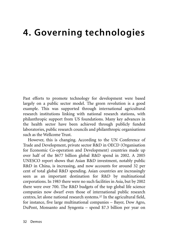## **4. Governing technologies**

Past efforts to promote technology for development were based largely on a public sector model. The green revolution is a good example. This was supported through international agricultural research institutions linking with national research stations, with philanthropic support from US foundations. Many key advances in the health sector have been achieved through publicly funded laboratories, public research councils and philanthropic organisations such as the Wellcome Trust.

However, this is changing. According to the UN Conference of Trade and Development, private sector R&D in OECD (Organisation for Economic Co-operation and Development) countries made up over half of the \$677 billion global R&D spend in 2002. A 2005 UNESCO report shows that Asian R&D investment, notably public R&D in China, is increasing, and now accounts for around 32 per cent of total global R&D spending. Asian countries are increasingly seen as an important destination for R&D by multinational corporations. In 1983 there were no such facilities in Asia, but by 2002 there were over 700. The R&D budgets of the top global life science companies now dwarf even those of international public research centres, let alone national research systems.37 In the agricultural field, for instance, five large multinational companies – Bayer, Dow Agro, DuPont, Monsanto and Syngenta – spend \$7.3 billion per year on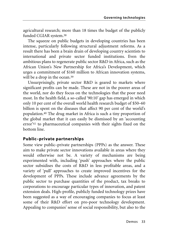agricultural research; more than 18 times the budget of the publicly funded CGIAR system.38

The squeeze on public budgets in developing countries has been intense, particularly following structural adjustment reforms. As a result there has been a brain drain of developing country scientists to international and private sector funded institutions. Even the ambitious plans to regenerate public sector R&D in Africa, such as the African Union's New Partnership for Africa's Development, which urges a commitment of \$160 million to African innovation systems, will be a drop in the ocean.<sup>39</sup>

Unsurprisingly, private sector R&D is geared to markets where significant profits can be made. These are not in the poorer areas of the world, nor do they focus on the technologies that the poor need most. In the health field, a so-called '90:10' gap has emerged in which only 10 per cent of the overall world health research budget of \$50–60 billion is spent on the diseases that affect 90 per cent of the world's population.40 The drug market in Africa is such a tiny proportion of the global market that it can easily be dismissed by an 'accounting error'41 to pharmaceutical companies with their sights fixed on the bottom line.

### **Public–private partnerships**

Some view public–private partnerships (PPPs) as the answer. These aim to make private sector innovations available in areas where they would otherwise not be. A variety of mechanisms are being experimented with, including 'push' approaches where the public sector subsidises the costs of R&D in less profitable areas, and a variety of 'pull' approaches to create improved incentives for the development of PPPs. These include advance agreements by the public sector to purchase quantities of the product, tax breaks to corporations to encourage particular types of innovation, and patent extension deals. High-profile, publicly funded technology prizes have been suggested as a way of encouraging companies to focus at least some of their R&D effort on pro-poor technology development. Appealing to companies' sense of social responsibility, but also to the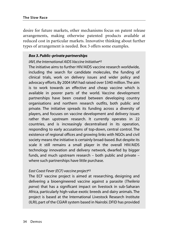desire for future markets, other mechanisms focus on patent release arrangements, making otherwise patented products available at reduced cost in particular markets. Innovative thinking about further types of arrangement is needed. Box 3 offers some examples.

### *Box 3. Public–private partnerships*

### *IAVI, the International AIDS Vaccine Initiative*<sup>42</sup>

The initiative aims to further HIV/AIDS vaccine research worldwide, including the search for candidate molecules, the funding of clinical trials, work on delivery issues and wider policy and advocacy efforts. By 2004 IAVI had raised over \$340 million.The aim is to work towards an effective and cheap vaccine which is available in poorer parts of the world. Vaccine development partnerships have been created between developing country organisations and northern research outfits, both public and private. The initiative spreads its funding across a diversity of players, and focuses on vaccine development and delivery issues rather than upstream research. It currently operates in 22 countries, and is increasingly decentralised in its operation, responding to early accusations of top-down, central control. The existence of regional offices and growing links with NGOs and civil society means the initiative is certainly broad-based. But despite its scale it still remains a small player in the overall HIV/AIDS technology innovation and delivery network, dwarfed by bigger funds, and much upstream research – both public and private – where such partnerships have little purchase.

### *East Coast Fever (ECF) vaccine project*<sup>43</sup>

The ECF vaccine project is aimed at researching, designing and delivering a bioengineered vaccine against a parasite (*Theileria parva*) that has a significant impact on livestock in sub-Saharan Africa, particularly high-value exotic breeds and dairy animals. The project is based at the International Livestock Research Institute (ILRI), part of the CGIAR system based in Nairobi. DFID has provided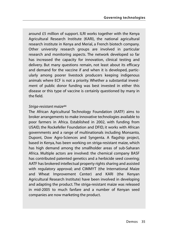around £5 million of support. ILRI works together with the Kenya Agricultural Research Institute (KARI), the national agricultural research institute in Kenya and Merial, a French biotech company. Other university research groups are involved in particular research and monitoring aspects. The network developed so far has increased the capacity for innovation, clinical testing and delivery. But many questions remain, not least about its efficacy and demand for the vaccine if and when it is developed, particularly among poorer livestock producers keeping indigenous animals where ECF is not a priority. Whether a substantial investment of public donor funding was best invested in either this disease or this type of vaccine is certainly questioned by many in the field.

### *Striga-resistant maize*<sup>44</sup>

The African Agricultural Technology Foundation (AATF) aims to broker arrangements to make innovative technologies available to poor farmers in Africa. Established in 2002, with funding from USAID, the Rockefeller Foundation and DFID, it works with African governments and a range of multinationals including Monsanto, Dupont, Dow Agro-Sciences and Syngenta. A flagship project, based in Kenya, has been working on striga-resistant maize, which has high demand among the smallholder areas of sub-Saharan Africa. Multiple actors are involved: the chemical company BASF has contributed patented genetics and a herbicide seed covering; AATF has brokered intellectual property rights sharing and assisted with regulatory approval; and CIMMYT (the International Maize and Wheat Improvement Center) and KARI (the Kenyan Agricultural Research Institute) have been involved in developing and adapting the product. The striga-resistant maize was released in mid-2005 to much fanfare and a number of Kenyan seed companies are now marketing the product.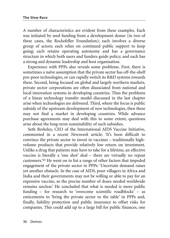A number of characteristics are evident from these examples. Each was initiated by seed funding from a development donor (in two of these cases, the Rockefeller Foundation); each involves a diverse group of actors; each relies on continued public support to keep going; each retains operating autonomy and has a governance structure in which both users and funders guide policy; and each has a strong and dynamic leadership and host organisation.

Experience with PPPs also reveals some problems. First, there is sometimes a naïve assumption that the private sector has off-the-shelf pro-poor technologies, or can rapidly switch its R&D systems towards these. Second, being focused on global and largely northern markets, private sector corporations are often dissociated from national and local innovation systems in developing countries. Thus the problems of a linear technology transfer model discussed in the last chapter arise when technologies are delivered. Third, where the focus is public subsidy of the upstream development of new technologies, then these may not find a market in developing countries. While advance purchase agreements may deal with this to some extent, questions arise about the long-term sustainability of such subsidies.

Seth Berkeley, CEO of the International AIDS Vaccine Initiative, commented in a recent *Newsweek* article: 'It's been difficult to convince the private sector to invest in vaccines – traditionally highvolume products that provide relatively low return on investment. Unlike a drug that patients may have to take for a lifetime, an effective vaccine is literally a 'one shot' deal – there are virtually no repeat customers.'45 He went on to list a range of other factors that impeded engagement of the private sector in PPPs: 'Uncertain demand raises yet another obstacle. In the case of AIDS, poor villagers in Africa and India and their governments may not be willing or able to pay for an expensive vaccine, so the precise number of doses needed worldwide remains unclear.' He concluded that what is needed is more public funding – for research to 'overcome scientific roadblocks' – as enticements to 'bring the private sector to the table' in PPPs and, finally, liability protection and public insurance to offset risks for companies. This could add up to a large bill for public finances, one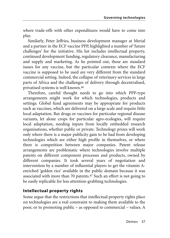where trade-offs with other expenditures would have to come into play.

Similarly, Peter Jeffries, business development manager at Merial and a partner in the ECF vaccine PPP, highlighted a number of 'future challenges' for the initiative. His list includes intellectual property, continued development funding, regulatory clearance, manufacturing and supply and marketing. As he pointed out, these are standard issues for any vaccine, but the particular contexts where the ECF vaccine is supposed to be used are very different from the standard commercial setting. Indeed, the collapse of veterinary services in large parts of Africa and the challenges of delivery through decentralised, privatised systems is well known.46

Therefore, careful thought needs to go into which PPP-type arrangements might work for which technologies, products and settings. Global fund agreements may be appropriate for products such as vaccines, which are delivered on a large scale and require little local adaptation. But drugs or vaccines for particular regional disease variants, let alone crops for particular agro-ecologies, will require local adaptation, needing inputs from locally embedded research organisations, whether public or private. Technology prizes will work only where there is a major publicity gain to be had from developing technologies which are either high profile in themselves, or where there is competition between major companies. Patent release arrangements are problematic where technologies involve multiple patents on different component processes and products, owned by different companies. It took several years of negotiation and intervention by a number of influential players to get the vitamin Aenriched 'golden rice' available in the public domain because it was associated with more than 70 patents.47 Such an effort is not going to be easily replicable for less attention-grabbing technologies.

# **Intellectual property rights**

Some argue that the restrictions that intellectual property rights place on technologies are a real constraint to making them available to the poor, or to promoting public – as opposed to commercial – values. A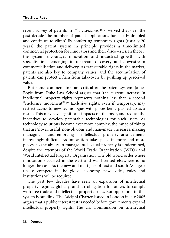recent survey of patents in *The Economist*48 observed that over the past decade 'the number of patent applications has nearly doubled and continues to climb'. By conferring temporary rights (usually 20 years) the patent system in principle provides a time-limited commercial protection for innovators and their discoveries. In theory, the system encourages innovation and industrial growth, with specialisations emerging in upstream discovery and downstream commercialisation and delivery. As transferable rights in the market, patents are also key to company values, and the accumulation of patents can protect a firm from take-overs by pushing up perceived value.

But some commentators are critical of the patent system. James Boyle from Duke Law School argues that 'the current increase in intellectual property rights represents nothing less than a second "enclosure movement"'.49 Exclusive rights, even if temporary, may restrict access to new technologies with prices being pushed up as a result. This may have significant impacts on the poor, and reduce the incentives to develop patentable technologies for such users. As technology solutions become ever more complex, the range of things that are 'novel, useful, non-obvious and man-made' increases, making managing – and enforcing – intellectual property arrangements increasingly difficult. As innovation takes place in more and more places, so the ability to manage intellectual property is undermined, despite the attempts of the World Trade Organization (WTO) and World Intellectual Property Organisation. The old world order where innovation occurred in the west and was licensed elsewhere is no longer the case. As the new and old tigers of east and south Asia gear up to compete in the global economy, new codes, rules and institutions will be required.

The past few decades have seen an expansion of intellectual property regimes globally, and an obligation for others to comply with free trade and intellectual property rules. But opposition to this system is building. The Adelphi Charter issued in London in late 2005 argues that a public interest test is needed before governments expand intellectual property rights. The UK Commission on Intellectual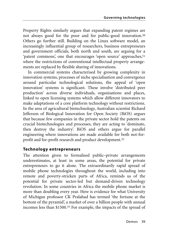Property Rights similarly argues that expanding patent regimes are not always good for the poor and for public-good innovation.50 Others go further still. Building on the Linux software model, an increasingly influential group of researchers, business entrepreneurs and government officials, both north and south, are arguing for a 'patent commons', one that encourages 'open source' approaches,<sup>51</sup> where the restrictions of conventional intellectual property arrangements are replaced by flexible sharing of innovations.

In commercial systems characterised by growing complexity in innovation systems, processes of niche specialisation and convergence around particular technological solutions, the appeal of 'open innovation' systems is significant. These involve 'distributed peer production' across diverse individuals, organisations and places, linked to open licensing systems which allow different innovators to make adaptations of a core platform technology without restrictions. In the area of agricultural biotechnology, Australian scientist Richard Jefferson of Biological Innovation for Open Society (BiOS) argues that because few companies in the private sector hold the patents on crucial biotechnologies and processes, they are acting to 'dominate, then destroy the industry'. BiOS and others argue for parallel engineering where innovations are made available for both not-forprofit and for-profit research and product development.52

### **Technology entrepreneurs**

The attention given to formalised public–private arrangements underestimates, at least in some areas, the potential for private entrepreneurs to go it alone. The extraordinarily rapid spread of mobile phone technologies throughout the world, including into remote and poverty-stricken parts of Africa, reminds us of the potential for private sector-led but demand-driven technology revolution. In some countries in Africa the mobile phone market is more than doubling every year. Here is evidence for what University of Michigan professor CK Pralahad has termed 'the fortune at the bottom of the pyramid', a market of over a billion people with annual incomes less than \$1500.53 For example, the impacts of the spread of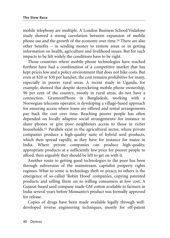mobile telephony are multiple. A London Business School/Vodafone study showed a strong correlation between expansion of mobile phone use and the growth of the economy over time.54 There are also other benefits – in sending money to remote areas or in getting information on health, agriculture and livelihood issues. But for such impacts to be felt widely the conditions have to be right.

Those countries where mobile phone technologies have reached furthest have had a combination of a competitive market that has kept prices low and a policy environment that does not hike costs. But even at \$20 or \$30 per handset, the cost remains prohibitive for many, especially in poorer rural areas. A recent study in Uganda, for example, showed that despite skyrocketing mobile phone ownership, 90 per cent of the country, mostly in rural areas, do not have a connection. GrameenPhone in Bangladesh, working with a Norwegian telecoms operator, is developing a village-based approach for ensuring access where loans are offered and rental arrangements pay back the cost over time. Reaching poorer people has often depended on locally adaptive social arrangements: for instance to share phones or give poor neighbours access to those in richer households.55 Parallels exist in the agricultural sector, where private companies produce a high-quality suite of hybrid seed products, which then spread rapidly, as they have for instance for maize in India. Where private companies can produce high-quality, appropriate products at a sufficiently low price for poorer people to afford, then arguably they should be left to get on with it.

Another route to getting good technologies to the poor has been through subversion of the mainstream, capitalist property rights regimes. What to some is technology theft or piracy, to others is the emergence of so-called 'Robin Hood' companies, copying patented products and selling them on to willing consumers at low cost. A Gujarat-based seed company made GM cotton available to farmers in India several years before Monsanto's product was formally approved for release.

Copies of drugs have been made available legally through welldeveloped reverse engineering techniques, mostly for off-patent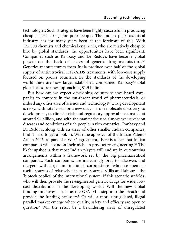technologies. Such strategies have been highly successful in producing cheap generic drugs for poor people. The Indian pharmaceutical industry has for many years been at the forefront of this. With 122,000 chemists and chemical engineers, who are relatively cheap to hire by global standards, the opportunities have been significant. Companies such as Ranbaxy and Dr Reddy's have become global players on the back of successful generic drug manufacture.56 Generics manufacturers from India produce over half of the global supply of antiretroviral HIV/AIDS treatments, with low-cost supply focused on poorer countries. By the standards of the developing world these are now large, established companies: Ranbaxy's total global sales are now approaching \$1.5 billion.

But how can we expect developing country science-based companies to compete in the cut-throat world of pharmaceuticals, or indeed any other area of science and technology?57 Drug development is risky, with total costs for a new drug – from molecule discovery, to development, to clinical trials and regulatory approval – estimated at around \$1 billion, and with the market focused almost exclusively on diseases and conditions of rich people in rich countries . Ranbaxy and Dr Reddy's, along with an array of other smaller Indian companies, find it hard to get a look in. With the approval of the Indian Patents Act in 2005, as part of a WTO agreement, there is a fear that Indian companies will abandon their niche in product re-engineering.58 The likely upshot is that most Indian players will end up in outsourcing arrangements within a framework set by the big pharmaceutical companies. Such companies are increasingly prey to takeovers and mergers with large multinational corporations, who see them as useful sources of relatively cheap, outsourced skills and labour – the 'biotech coolies' of the international system. If this scenario unfolds, who will then provide the re-engineered generic drugs for wide, lowcost distribution in the developing world? Will the new global funding initiatives – such as the GFATM – step into the breach and provide the funding necessary? Or will a more unregulated, illegal parallel market emerge where quality, safety and efficacy are open to question? Will the result be a bewildering array of unregulated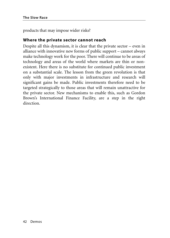products that may impose wider risks?

### **Where the private sector cannot reach**

Despite all this dynamism, it is clear that the private sector – even in alliance with innovative new forms of public support – cannot always make technology work for the poor. There will continue to be areas of technology and areas of the world where markets are thin or nonexistent. Here there is no substitute for continued public investment on a substantial scale. The lesson from the green revolution is that only with major investments in infrastructure and research will significant gains be made. Public investments therefore need to be targeted strategically to those areas that will remain unattractive for the private sector. New mechanisms to enable this, such as Gordon Brown's International Finance Facility, are a step in the right direction.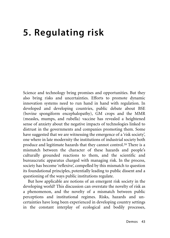# **5. Regulating risk**

Science and technology bring promises and opportunities. But they also bring risks and uncertainties. Efforts to promote dynamic innovation systems need to run hand in hand with regulation. In developed and developing countries, public debate about BSE (bovine spongiform encephalopathy), GM crops and the MMR (measles, mumps, and rubella) vaccine has revealed a heightened sense of anxiety about the negative impacts of technologies linked to distrust in the governments and companies promoting them. Some have suggested that we are witnessing the emergence of a 'risk society', one where in late modernity the institutions of industrial society both produce and legitimate hazards that they cannot control.59 There is a mismatch between the character of these hazards and people's culturally grounded reactions to them, and the scientific and bureaucratic apparatus charged with managing risk. In the process, society has become 'reflexive', compelled by this mismatch to question its foundational principles, potentially leading to public dissent and a questioning of the ways public institutions regulate.

But how applicable are notions of an emergent risk society in the developing world? This discussion can overstate the novelty of risk as a phenomenon, and the novelty of a mismatch between public perceptions and institutional regimes. Risks, hazards and uncertainties have long been experienced in developing country settings in the constant interplay of ecological and bodily processes,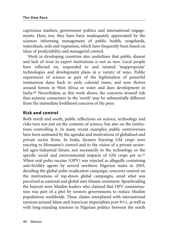capricious markets, government politics and international engagements. Here, too, they have been inadequately appreciated by the sciences informing management of public health, rangelands, watersheds, soils and vegetation, which have frequently been based on ideas of predictability and managerial control.

Work in developing countries also underlines that public dissent and lack of trust in expert institutions is not so new. Local people have reflected on, responded to and resisted 'inappropriate' technologies and development plans in a variety of ways. Public experiences of science as part of the legitimation of powerful institutions dates back to early colonial times, and now thrives around forests in West Africa or water and dam development in India.60 Nevertheless, as this work shows, the concerns around risk that animate consumers in the 'north' may be substantially different from the immediate livelihood concerns of the poor.

# **Risk and control**

Both north and south, public reflections on science, technology and risks turn not just on the contents of science, but also on the institutions controlling it. In many recent examples, public controversies have been animated by the agendas and motivations of globalised and private sector firms. In India, farmers burning GM crops were reacting to Monsanto's control and to the vision of a private-sectorled agro-industrial future, not necessarily to the technology or the specific social and environmental impacts of GM crops per se.<sup>61</sup> When oral polio vaccine (OPV) was rejected as allegedly containing anti-fertility agents by several northern Nigerian states in 2003, derailing the global polio eradication campaign, concerns centred on the motivations of top-down global campaigns, amid what was perceived as national and global anti-Islamic sentiment. Spearheading the boycott were Muslim leaders who claimed that OPV contamination was part of a plot by western governments to reduce Muslim populations worldwide. These claims interplayed with international tensions around Islam and American imperialism post 9/11, as well as with long-standing tensions in Nigerian politics between the north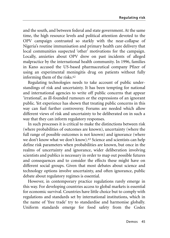and the south, and between federal and state government. At the same time, the high resource levels and political attention devoted to the OPV campaign contrasted so starkly with the near-collapse of Nigeria's routine immunisation and primary health care delivery that local communities suspected 'other' motivations for the campaign. Locally, anxieties about OPV drew on past incidents of alleged malpractice by the international health community. In 1996, families in Kano accused the US-based pharmaceutical company Pfizer of using an experimental meningitis drug on patients without fully informing them of the risks.62

Regulating technologies needs to take account of public understandings of risk and uncertainty. It has been tempting for national and international agencies to write off public concerns that appear 'irrational', as ill-founded rumours or the expressions of an ignorant public. Yet experience has shown that treating public concerns in this way can fuel further controversy. Forums are needed which allow different views of risk and uncertainty to be deliberated on in such a way that they can inform regulatory responses.

In such processes it is critical to make the distinctions between risk (where probabilities of outcomes are known), uncertainty (where the full range of possible outcomes is not known) and ignorance (where we don't know what we don't know).63 Science and scientists can help define risk parameters when probabilities are known, but once in the realms of uncertainty and ignorance, wider deliberation involving scientists and publics is necessary in order to map out possible futures and consequences and to consider the effects these might have on different social groups. Given that most debates about science and technology options involve uncertainty, and often ignorance, public debate about regulatory regimes is essential.

However, in contemporary practice regulations rarely emerge in this way. For developing countries access to global markets is essential for economic survival. Countries have little choice but to comply with regulations and standards set by international institutions, which in the name of 'free trade' try to standardise and harmonise globally. Uniform standards emerge for food safety from the Codex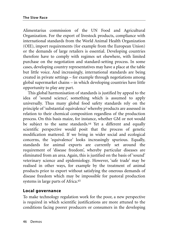Alimentarius commission of the UN Food and Agricultural Organization. For the export of livestock products, compliance with international standards from the World Animal Health Organization (OIE), import requirements (for example from the European Union) or the demands of large retailers is essential. Developing countries therefore have to comply with regimes set elsewhere, with limited purchase on the negotiation and standard-setting process. In some cases, developing country representatives may have a place at the table but little voice. And increasingly, international standards are being created in private settings – for example through negotiations among global supermarket chains – in which developing countries have little opportunity to play any part.

This global harmonisation of standards is justified by appeal to the idea of 'sound science', something which is assumed to apply universally. Thus many global food safety standards rely on the principle of 'substantial equivalence' whereby products are assessed in relation to their chemical composition regardless of the production process. On this basis maize, for instance, whether GM or not would be subject to the same standards.<sup>64</sup> Yet a different and equally scientific perspective would posit that the process of genetic modification mattered. If we bring in wider social and ecological concerns, the 'equivalence' looks increasingly spurious. Equally, standards for animal exports are currently set around the requirement of 'disease freedom', whereby particular diseases are eliminated from an area. Again, this is justified on the basis of 'sound' veterinary science and epidemiology. However, 'safe trade' may be realised in other ways, for example by the treatment of animal products prior to export without satisfying the onerous demands of disease freedom which may be impossible for pastoral production systems in large parts of Africa.65

### **Local governance**

To make technology regulation work for the poor, a new perspective is required in which scientific justifications are more attuned to the conditions facing poorer producers or consumers in the developing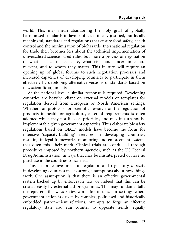world. This may mean abandoning the holy grail of globally harmonised standards in favour of scientifically justified, but locally meaningful, standards and regulations that ensure food safety, health control and the minimisation of biohazards. International regulation for trade then becomes less about the technical implementation of universalised science-based rules, but more a process of negotiation of what science makes sense, what risks and uncertainties are relevant, and to whom they matter. This in turn will require an opening up of global forums to such negotiation processes and increased capacities of developing countries to participate in them effectively by developing alternative versions of standards based on new scientific arguments.

At the national level a similar response is required. Developing countries are heavily reliant on external models or templates for regulation derived from European or North American settings. Whether for protocols for scientific research or the regulation of products in health or agriculture, a set of requirements is often adopted which may not fit local priorities, and may in turn not be implementable given government capacities. Thus elaborate biosafety regulations based on OECD models have become the focus for intensive 'capacity-building' exercises in developing countries, resulting in legal frameworks, monitoring and enforcement systems that often miss their mark. Clinical trials are conducted through procedures imposed by northern agencies, such as the US Federal Drug Administration, in ways that may be misinterpreted or have no purchase in the countries concerned.

This elaborate investment in regulation and regulatory capacity in developing countries makes strong assumptions about how things work. One assumption is that there is an effective governmental system backed up by enforceable law, or indeed that this can be created easily by external aid programmes. This may fundamentally misrepresent the ways states work, for instance in settings where government action is driven by complex, politicised and historically embedded patron–client relations. Attempts to forge an effective regulatory state also run counter to opposite trends, equally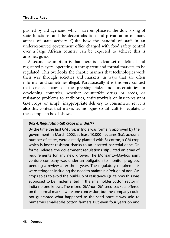pushed by aid agencies, which have emphasised the downsizing of state functions, and the decentralisation and privatisation of many arenas of state activity. Quite how the handful of staff in an underresourced government office charged with food safety control over a large African country can be expected to achieve this is anyone's guess.

A second assumption is that there is a clear set of defined and registered players, operating in transparent and formal markets, to be regulated. This overlooks the chaotic manner that technologies work their way through societies and markets, in ways that are often informal and sometimes illegal. Paradoxically it is this very context that creates many of the pressing risks and uncertainties in developing countries, whether counterfeit drugs or seeds, or resistance problems to antibiotics, antiretrovirals or insect-resistant GM crops, or simply inappropriate delivery to consumers. Yet it is also this context that makes technologies so difficult to regulate, as the example in box 4 shows.

#### *Box 4. Regulating GM crops in India?***<sup>66</sup>**

By the time the first GM crop in India was formally approved by the government in March 2002, at least 10,000 hectares (ha), across a number of states, were already planted with Bt cotton, a GM crop which is insect-resistant thanks to an inserted bacterial gene. On formal release, the government regulations stipulated an array of requirements for any new grower. The Monsanto–Mayhco joint venture company was under an obligation to monitor progress, pending a review after three years. The regulatory requirements were stringent, including the need to maintain a 'refuge' of non-GM crops so as to avoid the build-up of resistance. Quite how this was supposed to be implemented in the smallholder cotton sector in India no one knows. The mixed GM/non-GM seed packets offered on the formal market were one concession, but the company could not guarantee what happened to the seed once it was sold to numerous small-scale cotton farmers. But even four years on and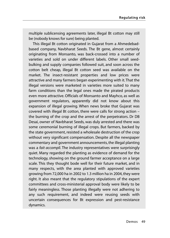multiple sublicensing agreements later, illegal Bt cotton may still be (nobody knows for sure) being planted.

This illegal Bt cotton originated in Gujarat from a Ahmedebadbased company, Navbharat Seeds. The Bt gene, almost certainly originating from Monsanto, was back-crossed into a number of varieties and sold on under different labels. Other small seedbulking and supply companies followed suit, and soon across the cotton belt cheap, illegal Bt cotton seed was available on the market. The insect-resistant properties and low prices were attractive and many farmers began experimenting with it. That the illegal versions were marketed in varieties more suited to many farm conditions than the legal ones made the pirated products even more attractive. Officials of Monsanto and Mayhco, as well as government regulators, apparently did not know about this expansion of illegal growing. When news broke that Gujarat was covered with illegal Bt cotton, there were calls for strong action – the burning of the crop and the arrest of the perpetrators. Dr DB Desai, owner of Navbharat Seeds, was duly arrested and there was some ceremonial burning of illegal crops. But farmers, backed by the state government, resisted a wholesale destruction of the crop without very significant compensation. Despite all the newspaper commentary and government announcements, the illegal planting was a *fait accompli*. The industry representatives were surprisingly quiet. Many regarded the planting as evidence of demand for the technology, showing on the ground farmer acceptance on a large scale. This they thought bode well for their future market, and in many respects, with the area planted with approved varieties growing from 72,000 ha in 2002 to 1.3 million ha in 2004, they were right. It also meant that the regulatory stipulations of the expert committees and cross-ministerial approval body were likely to be fairly meaningless. Those planting illegally were not adhering to any such requirement, and indeed were reusing seeds with uncertain consequences for Bt expression and pest-resistance dynamics.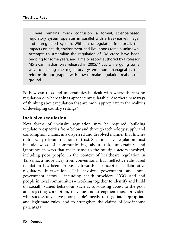There remains much confusion: a formal, science-based regulatory system operates in parallel with a free-market, illegal and unregulated system. With an unregulated free-for-all, the impacts on health, environment and livelihoods remain unknown. Attempts to streamline the regulation of GM crops have been ongoing for some years, and a major report authored by Professor MS Swaminathan was released in 2005.67 But while going some way to making the regulatory system more manageable, the reforms do not grapple with how to make regulation real on the ground.

So how can risks and uncertainties be dealt with where there is no regulation or where things appear unregulatable? Are there new ways of thinking about regulation that are more appropriate to the realities of developing country settings?

## **Inclusive regulation**

New forms of inclusive regulation may be required, building regulatory capacities from below and through technology supply and consumption chains, in a dispersed and devolved manner that hitches onto locally relevant relations of trust. Such inclusive regulation must include ways of communicating about risk, uncertainty and ignorance in ways that make sense to the multiple actors involved, including poor people. In the context of healthcare regulation in Tanzania, a move away from conventional but ineffective rule-based regulation has been proposed, towards a concept of 'collaborative regulatory intervention'. This involves government and nongovernment actors – including health providers, NGO staff and people in local communities – working together to identify and build on socially valued behaviour, such as subsidising access to the poor and rejecting corruption, to value and strengthen those providers who successfully serve poor people's needs, to negotiate appropriate and legitimate rules, and to strengthen the claims of low-income patients.68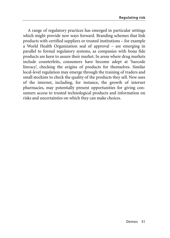A range of regulatory practices has emerged in particular settings which might provide new ways forward. Branding schemes that link products with certified suppliers or trusted institutions – for example a World Health Organization seal of approval – are emerging in parallel to formal regulatory systems, as companies with bona fide products are keen to assure their market. In areas where drug markets include counterfeits, consumers have become adept at 'barcode literacy', checking the origins of products for themselves. Similar local-level regulation may emerge through the training of traders and small stockists to check the quality of the products they sell. New uses of the internet, including, for instance, the growth of internet pharmacies, may potentially present opportunities for giving consumers access to trusted technological products and information on risks and uncertainties on which they can make choices.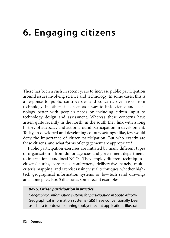# **6. Engaging citizens**

There has been a rush in recent years to increase public participation around issues involving science and technology. In some cases, this is a response to public controversies and concerns over risks from technology. In others, it is seen as a way to link science and technology better with people's needs by including citizen input to technology design and assessment. Whereas these concerns have arisen quite recently in the north, in the south they link with a long history of advocacy and action around participation in development. Today, in developed and developing country settings alike, few would deny the importance of citizen participation. But who exactly are these citizens, and what forms of engagement are appropriate?

Public participation exercises are initiated by many different types of organisation – from donor agencies and government departments to international and local NGOs. They employ different techniques – citizens' juries, consensus conferences, deliberative panels, multicriteria mapping, and exercises using visual techniques, whether hightech geographical information systems or low-tech sand drawings and stone piles. Box 5 illustrates some recent examples.

#### *Box 5. Citizen participation in practice*

*Geographical information systems for participation in South Africa*<sup>69</sup> Geographical information systems (GIS) have conventionally been used as a top-down planning tool, yet recent applications illustrate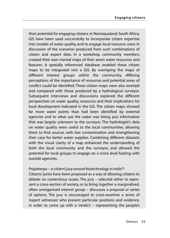their potential for engaging citizens. In Namaqualand, South Africa, GIS have been used successfully to incorporate citizen expertise into models of water quality, and to engage local resource users in discussion of the scenarios produced from such combinations of citizen and expert data. In a workshop, community members created their own mental maps of their area's water resources and features. A spatially referenced database enabled these citizen maps to be integrated into a GIS. By overlaying the maps of different interest groups within the community, differing perceptions of the importance of resources and potential areas of conflict could be identified. These citizen maps were also overlaid and compared with those produced by a hydrological surveyor. Subsequent interviews and discussions explored the different perspectives on water quality, resources and their implications for local development indicated in the GIS. The citizen maps showed far more water points than had been identified by external agencies and to what use the water was being put, information that was largely unknown to the surveyor. The hydrologist's data on water quality were useful to the local communities, allowing them to find sources with low contamination and strengthening their case for better water supplies. Combining different datasets with the visual clarity of a map enhanced the understanding of both the local community and the surveyor, and allowed the potential for local groups to engage on a more level footing with outside agencies.

#### *Prajateerpu – a citizen's jury around biotechnology in India*<sup>70</sup>

Citizens' juries have been proposed as a way of allowing citizens to debate on contentious issues. The jury – selected either to represent a cross-section of society, or to bring together a marginalised, often unorganised interest group – discusses a proposal or series of options. The jury is encouraged to cross-examine a series of 'expert witnesses' who present particular positions and evidence, in order to come up with a 'verdict' – representing the people's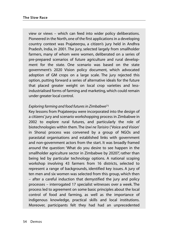view or views – which can feed into wider policy deliberations. Pioneered in the North, one of the first applications in a developing country context was Prajateerpu, a citizen's jury held in Andhra Pradesh, India, in 2001. The jury, selected largely from smallholder farmers, many of whom were women, deliberated on a series of pre-prepared scenarios of future agriculture and rural development for the state. One scenario was based on the state government's 2020 Vision policy document, which advocated adoption of GM crops on a large scale. The jury rejected this option, putting forward a series of alternative ideals for the future that placed greater weight on local crop varieties and lessindustrialised forms of farming and marketing, which could remain under greater local control.

#### *Exploring farming and food futures in Zimbabwe*<sup>71</sup>

Key lessons from Prajateerpu were incorporated into the design of a citizens' jury and scenario workshopping process in Zimbabwe in 2002 to explore rural futures, and particularly the role of biotechnologies within them. The *Izwi ne Tarisiro* ('Voice and Vision' in Shona) process was convened by a group of NGOs and parastatal organisations and established links with government and non-government actors from the start. It was broadly framed around the question: 'What do you desire to see happen in the smallholder agriculture sector in Zimbabwe by 2020?', rather than being led by particular technology options. A national scoping workshop involving 43 farmers from 16 districts, selected to represent a range of backgrounds, identified key issues. A jury of ten men and six women was selected from this group, which then – after a careful induction that demystified the jury and policy processes – interrogated 17 specialist witnesses over a week. The process led to agreement on some basic principles about the local control of food and farming, as well as the importance of indigenous knowledge, practical skills and local institutions. Moreover, participants felt they had had an unprecedented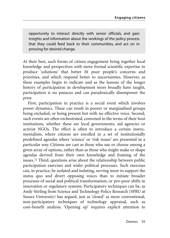opportunity to interact directly with senior officials, and gain insights and information about the workings of the policy process that they could feed back to their communities, and act on in pressing for desired change.

At their best, such forms of citizen engagement bring together local knowledge and perspectives with more formal scientific expertise to produce 'solutions' that better fit poor people's concerns and priorities, and which respond better to uncertainties. However, as these examples begin to indicate and as the lessons of the longer history of participation in development more broadly have taught, participation is no panacea and can paradoxically disempower the poor.

First, participation in practice is a social event which involves power dynamics. These can result in poorer or marginalised groups being excluded, or being present but with no effective voice. Second, such events are often orchestrated, convened in the terms of their host institutions, whether these are local governments, aid agencies or activist NGOs. The effect is often to introduce a certain instrumentalism, where citizens are enrolled in a set of institutionally predefined agendas where 'science' or 'risk issues' are presented in a particular way. Citizens are cast as those who use or choose among a given array of options, rather than as those who might make or shape agendas derived from their own knowledge and framing of the issues.72 Third, questions arise about the relationship between public participation exercises and wider political processes. Such exercises can, in practice, be isolated and isolating, serving more to support the status quo and divert opposing voices than to initiate broader processes of social and political transformation, or pro-poor shifts in innovation or regulatory systems. Participatory techniques can be, as Andy Stirling from Science and Technology Policy Research (SPRU at Sussex University) has argued, just as 'closed' as more conventional, non-participatory techniques of technology appraisal, such as cost–benefit analysis. 'Opening up' requires explicit attention to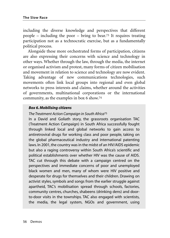including the diverse knowledge and perspectives that different people – including the poor – bring to bear.<sup>73</sup> It requires treating participation not as a technocratic exercise, but as a fundamentally political process.

Alongside these more orchestrated forms of participation, citizens are also expressing their concerns with science and technology in other ways. Whether through the law, through the media, the internet or organised activism and protest, many forms of citizen mobilisation and movement in relation to science and technology are now evident. Taking advantage of new communications technologies, such movements often link local groups into regional and even global networks to press interests and claims, whether around the activities of governments, multinational corporations or the international community, as the examples in box 6 show.74

#### *Box 6. Mobilising citizens*

#### *The Treatment Action Campaign in South Africa*<sup>75</sup>

In a David and Goliath story, the grassroots organisation TAC (Treatment Action Campaign) in South Africa successfully fought through linked local and global networks to gain access to antiretroviral drugs for working class and poor people, taking on the global pharmaceutical industry and international patenting laws. In 2001, the country was in the midst of an HIV/AIDS epidemic but also a raging controversy within South Africa's scientific and political establishments over whether HIV was the cause of AIDS. TAC cut through this debate with a campaign centred on the perspectives and immediate concerns of poor and unemployed black women and men, many of whom were HIV positive and desperate for drugs for themselves and their children. Drawing on activist styles, symbols and songs from the earlier struggle against apartheid, TAC's mobilisation spread through schools, factories, community centres, churches, shabeens (drinking dens) and doorto-door visits in the townships. TAC also engaged with scientists, the media, the legal system, NGOs and government, using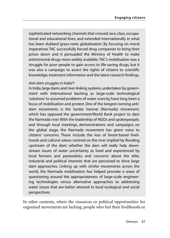sophisticated networking channels that crossed race, class, occupational and educational lines, and extended internationally in what has been dubbed 'grass-roots globalisation'. By focusing on moral imperatives TAC successfully forced drug companies to bring their prices down and it persuaded the Ministry of Health to make antiretroviral drugs more widely available. TAC's mobilisation was a struggle for poor people to gain access to life-saving drugs, but it was also a campaign to assert the rights of citizens to scientific knowledge, treatment information and the latest research findings.

#### *Anti-dam struggles in India*<sup>76</sup>

In India, large dams and river-linking systems, undertaken by government with international backing as large-scale technological 'solutions' to assumed problems of water scarcity, have long been a focus of mobilisation and protest. One of the longest-running antidam movements is the Sardar Sarovar (Narmada) movement, which has opposed the government/World Bank project to dam the Narmada river. With the leadership of NGOs and spokespeople, and through local meetings, demonstrations and campaigns on the global stage, the Narmada movement has given voice to citizens' concerns. These include the loss of forest-based livelihoods and cultural values centred on the river implied by flooding upstream of the dam; whether the dam will really help downstream issues of water uncertainty as lived and experienced by local farmers and pastoralists; and concerns about the elite, industrial and political interests that are perceived to drive large dam approaches. Linking up with similar movements across the world, the Narmada mobilisation has helped provoke a wave of questioning around the appropriateness of large-scale engineering technologies versus alternative approaches to addressing water issues that are better attuned to local ecological and social perspectives.

In other contexts, where the resources or political opportunities for organised movements are lacking, people who feel their livelihoods or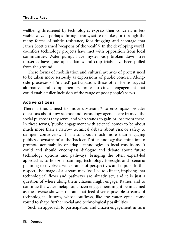wellbeing threatened by technologies express their concerns in less visible ways – perhaps through irony, satire or jokes, or through the many forms of subtle resistance, foot-dragging and sabotage that James Scott termed 'weapons of the weak'.<sup>77</sup> In the developing world, countless technology projects have met with opposition from local communities. Water pumps have mysteriously broken down, tree nurseries have gone up in flames and crop trials have been pulled from the ground.

These forms of mobilisation and cultural avenues of protest need to be taken more seriously as expressions of public concern. Alongside processes of 'invited' participation, these other forms suggest alternative and complementary routes to citizen engagement that could enable fuller inclusion of the range of poor people's views.

# **Active citizens**

There is thus a need to 'move upstream'78 to encompass broader questions about how science and technology agendas are framed, the social purposes they serve, and who stands to gain or lose from these. In these terms, 'public engagement with science' comes to be about much more than a narrow technical debate about risk or safety to dampen controversy. It is also about much more than engaging publics 'downstream', at the 'back end' of technology dissemination to promote acceptability or adapt technologies to local conditions. It could and should encompass dialogue and debate about future technology options and pathways, bringing the often expert-led approaches to horizon scanning, technology foresight and scenario planning to involve a wider range of perspectives and inputs. In this respect, the image of a stream may itself be too linear, implying that technological flows and pathways are already set, and it is just a question of where along them citizens might engage. Rather, and to continue the water metaphor, citizen engagement might be imagined as the diverse showers of rain that feed diverse possible streams of technological futures, whose outflows, like the water cycle, come round to shape further social and technological possibilities.

Such an approach to participation and citizen engagement in turn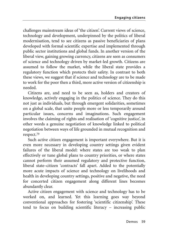challenges mainstream ideas of 'the citizen'. Current views of science, technology and development, underpinned by the politics of liberal modernisation, tend to see citizens as passive beneficiaries of plans developed with formal scientific expertise and implemented through public sector institutions and global funds. In another version of the liberal view, gaining growing currency, citizens are seen as consumers of science and technology driven by market-led growth. Citizens are assumed to follow the market, while the liberal state provides a regulatory function which protects their safety. In contrast to both these views, we suggest that if science and technology are to be made to work for the poor then a third, more active version of citizenship is needed.

Citizens are, and need to be seen as, holders and creators of knowledge, actively engaging in the politics of science. They do this not just as individuals, but through emergent solidarities, sometimes on a global scale, that unite people more or less temporarily around particular issues, concerns and imaginations. Such engagement involves the claiming of rights and realisation of 'cognitive justice', in other words a genuine negotiation of knowledge linked to political negotiation between ways of life grounded in mutual recognition and respect.79

Such active citizen engagement is important everywhere. But it is even more necessary in developing country settings given evident failures of the liberal model: where states are too weak to plan effectively or tune global plans to country priorities, or where states cannot perform their assumed regulatory and protective function, liberal state–citizen 'contracts' fall apart. Added to the potentially more acute impacts of science and technology on livelihoods and health in developing country settings, positive and negative, the need for concerted citizen engagement along different lines becomes abundantly clear.

Active citizen engagement with science and technology has to be worked on, and learned. Yet this learning goes way beyond conventional approaches for fostering 'scientific citizenship'. These tend to focus on building scientific literacy – increasing public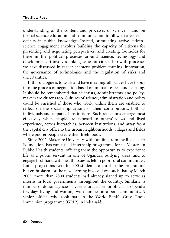understanding of the content and processes of science – and on formal science education and communication to fill what are seen as deficits in public knowledge. Instead, stimulating active citizen– science engagement involves building the capacity of citizens for presenting and negotiating perspectives, and creating footholds for these in the political processes around science, technology and development. It involves linking issues of citizenship with processes we have discussed in earlier chapters: problem-framing, innovation, the governance of technologies and the regulation of risks and uncertainties.

If this dialogue is to work and have meaning, all parties have to buy into the process of negotiation based on mutual respect and learning. It should be remembered that scientists, administrators and policymakers are citizens too. Cultures of science, administration and policy could be enriched if those who work within them are enabled to reflect on the social implications of their contributions, both as individuals and as part of institutions. Such reflections emerge most effectively when people are exposed to others' views and lived experience, across hierarchies, between institutions, and away from the capital city office to the urban neighbourhoods, villages and fields where poorer people create their livelihoods.

Since 2002, Makerere University, with funding from the Rockefeller Foundation, has run a field internship programme for its Masters in Public Health students, offering them the opportunity to experience life as a public servant in one of Uganda's outlying areas, and to engage first-hand with health issues as felt in poor rural communities. Initial projections were for 300 students to enrol in the programme but enthusiasm for the new learning involved was such that by March 2005, more than 2800 students had already signed up to serve as interns in local governments throughout the country. Similarly, a number of donor agencies have encouraged senior officials to spend a few days living and working with families in a poor community. A senior official who took part in the World Bank's Grass Roots Immersion programme (GRIP) in India said: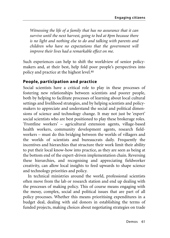*Witnessing the life of a family that has no assurance that it can survive until the next harvest, going to bed at 8pm because there is no light and nothing else to do and talking with parents and children who have no expectations that the government will improve their lives had a remarkable effect on me.*

Such experiences can help to shift the worldview of senior policymakers and, at their best, help fold poor people's perspectives into policy and practice at the highest level.80

# **People, participation and practice**

Social scientists have a critical role to play in these processes of fostering new relationships between scientists and poorer people, both by helping to facilitate processes of learning about local cultural settings and livelihood strategies, and by helping scientists and policymakers to appreciate and understand the social and political dimensions of science and technology change. It may not just be 'expert' social scientists who are best positioned to play these brokerage roles. 'Frontline workers' – agricultural extension agents, village-based health workers, community development agents, research fieldworkers – must do this bridging between the worlds of villagers and the worlds of scientists and bureaucrats daily. Frequently the incentives and hierarchies that structure their work limit their ability to put their local know-how into practice, as they are seen as being at the bottom end of the expert-driven implementation chain. Reversing these hierarchies, and recognising and appreciating fieldworker creativity, can allow local insights to feed upwards to shape science and technology priorities and policy.

In technical ministries around the world, professional scientists often move from the lab or research station and end up dealing with the processes of making policy. This of course means engaging with the messy, complex, social and political issues that are part of all policy processes. Whether this means prioritising expenditures in a budget deal, dealing with aid donors in establishing the terms of funded projects, making choices about negotiating strategies on trade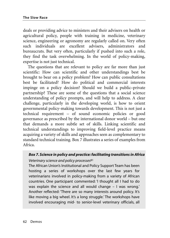deals or providing advice to ministers and their advisers on health or agricultural policy, people with training in medicine, veterinary science, engineering or agronomy are regularly called on. Very often such individuals are excellent advisers, administrators and bureaucrats. But very often, particularly if pushed into such a role, they find the task overwhelming. In the world of policy-making, expertise is not just technical.

The questions that are relevant to policy are far more than just scientific: How can scientific and other understandings best be brought to bear on a policy problem? How can public consultations best be facilitated? How do political and commercial interests impinge on a policy decision? Should we build a public–private partnership? These are some of the questions that a social science understanding of policy prompts, and will help to address. A clear challenge, particularly in the developing world, is how to orient governmental policy-making towards development. This is not just a technical requirement – of sound economic policies or good governance as prescribed by the international donor world – but one that demands a more subtle set of skills. Linking scientific and technical understandings to improving field-level practice means acquiring a variety of skills and approaches seen as complementary to standard technical training. Box 7 illustrates a series of examples from Africa.

# *Box 7. Science in policy and practice: facilitating transitions in Africa Veterinary science and policy processes*<sup>81</sup>

The African Union's Institutional and Policy Support Team has been hosting a series of workshops over the last few years for veterinarians involved in policy-making from a variety of African countries. One participant commented: 'I thought all I had to do was explain the science and all would change – I was wrong.' Another reflected: 'There are so many interests around policy. It's like moving a big wheel. It's a long struggle.' The workshops have involved encouraging mid- to senior-level veterinary officials, all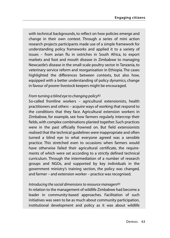with technical backgrounds, to reflect on how policies emerge and change in their own context. Through a series of mini action research projects participants made use of a simple framework for understanding policy frameworks and applied it to a variety of issues – from avian flu in ostriches in South Africa, to export markets and foot and mouth disease in Zimbabwe to managing Newcastle's disease in the small-scale poultry sector in Tanzania, to veterinary service reform and reorganisation in Ethiopia. The cases highlighted the differences between contexts, but also how, equipped with a better understanding of policy dynamics, change in favour of poorer livestock keepers might be encouraged.

#### *From turning a blind eye to changing policy*<sup>82</sup>

So-called frontline workers – agricultural extensionists, health practitioners and others – acquire ways of working that respond to the conditions that they face. Agricultural extension workers in Zimbabwe, for example, see how farmers regularly intercrop their fields, with complex combinations planted together. Such practices were in the past officially frowned on. But field extensionists realised that the technical guidelines were inappropriate and often turned a blind eye to what everyone agreed was a sensible practice. This stretched even to occasions when farmers would have otherwise failed their agricultural certificate, the requirements of which were set according to a strictly defined technical curriculum. Through the intermediation of a number of research groups and NGOs, and supported by key individuals in the government ministry's training section, the policy was changed, and farmer – and extension worker – practice was recognised.

#### *Introducing the social dimensions to resource managers*<sup>83</sup>

In relation to the management of wildlife Zimbabwe had become a leader in community-based approaches. Facilitation of such initiatives was seen to be as much about community participation, institutional development and policy as it was about wildlife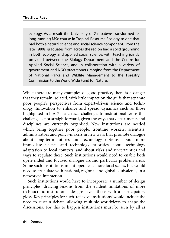ecology. As a result the University of Zimbabwe transformed its long-running MSc course in Tropical Resource Ecology to one that had both a natural science and social science component. From the late 1980s, graduates from across the region had a solid grounding in both ecology and applied social science, with teaching jointly provided between the Biology Department and the Centre for Applied Social Science, and in collaboration with a variety of government and NGO practitioners, ranging from the Department of National Parks and Wildlife Management to the Forestry Commission to the World Wide Fund for Nature.

While there are many examples of good practice, there is a danger that they remain isolated, with little impact on the gulfs that separate poor people's perspectives from expert-driven science and technology. Innovation to enhance and spread dynamics such as those highlighted in box 7 is a critical challenge. In institutional terms this challenge is not straightforward, given the ways that departments and disciplines are currently organised. New institutions are needed which bring together poor people, frontline workers, scientists, administrators and policy-makers in new ways that promote dialogue about long-term futures and technology options, about more immediate science and technology priorities, about technology adaptation to local contexts, and about risks and uncertainties and ways to regulate these. Such institutions would need to enable both open-ended and focused dialogue around particular problem areas. Some such institutions might operate at more local scales, but would need to articulate with national, regional and global equivalents, in a networked interaction.

Such institutions would have to incorporate a number of design principles, drawing lessons from the evident limitations of more technocratic institutional designs, even those with a participatory gloss. Key principles for such 'reflexive institutions' would include the need to sustain debate, allowing multiple worldviews to shape the discussions. For this to happen institutions must be seen by all as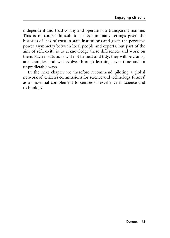independent and trustworthy and operate in a transparent manner. This is of course difficult to achieve in many settings given the histories of lack of trust in state institutions and given the pervasive power asymmetry between local people and experts. But part of the aim of reflexivity is to acknowledge these differences and work on them. Such institutions will not be neat and tidy; they will be clumsy and complex and will evolve, through learning, over time and in unpredictable ways.

In the next chapter we therefore recommend piloting a global network of 'citizen's commissions for science and technology futures' as an essential complement to centres of excellence in science and technology.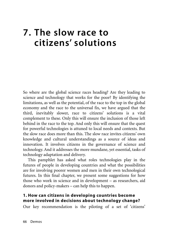# **7. The slow race to citizens' solutions**

So where are the global science races heading? Are they leading to science and technology that works for the poor? By identifying the limitations, as well as the potential, of the race to the top in the global economy and the race to the universal fix, we have argued that the third, inevitably slower, race to citizens' solutions is a vital complement to these. Only this will ensure the inclusion of those left behind in the race to the top. And only this will ensure that the quest for powerful technologies is attuned to local needs and contexts. But the slow race does more than this. The slow race invites citizens' own knowledge and cultural understandings as a source of ideas and innovation. It involves citizens in the governance of science and technology. And it addresses the more mundane, yet essential, tasks of technology adaptation and delivery.

This pamphlet has asked what roles technologies play in the futures of people in developing countries and what the possibilities are for involving poorer women and men in their own technological futures. In this final chapter, we present some suggestions for how those who work in science and in development – as researchers, aid donors and policy-makers – can help this to happen.

## **1. How can citizens in developing countries become more involved in decisions about technology change?**

Our key recommendation is the piloting of a set of 'citizens'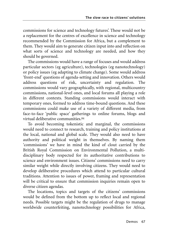commissions for science and technology futures'. These would not be a replacement for the centres of excellence in science and technology recommended by the Commission for Africa, but a complement to them. They would aim to generate citizen input into and reflection on what sorts of science and technology are needed, and how they should be governed.

The commissions would have a range of focuses and would address particular sectors (eg agriculture), technologies (eg nanotechnology) or policy issues (eg adapting to climate change). Some would address 'front-end' questions of agenda-setting and innovation. Others would address questions of risk, uncertainty and regulation. The commissions would vary geographically, with regional, multicountry commissions, national-level ones, and local forums all playing a role in different contexts. Standing commissions would interact with temporary ones, formed to address time-bound questions. And these commissions could make use of a variety of different media, from face-to-face 'public space' gatherings to online forums, blogs and virtual deliberative communities.84

To avoid becoming tokenistic and marginal, the commissions would need to connect to research, training and policy institutions at the local, national and global scale. They would also need to have authority and political weight in themselves. By naming them 'commissions' we have in mind the kind of clout carried by the British Royal Commission on Environmental Pollution, a multidisciplinary body respected for its authoritative contributions to science and environment issues. Citizens' commissions need to carry similar weight while directly involving citizens. They would need to develop deliberative procedures which attend to particular cultural traditions. Attention to issues of power, framing and representation will be critical to ensure that commission inquiries remain open to diverse citizen agendas.

The locations, topics and targets of the citizens' commissions would be defined from the bottom up to reflect local and regional needs. Possible targets might be the regulation of drugs to manage worldwide counterfeiting, nanotechnology possibilities for Africa,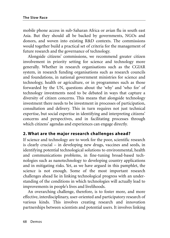mobile phone access in sub-Saharan Africa or avian flu in south east Asia. But they should all be backed by governments, NGOs and donors, and woven into existing R&D contexts. The commissions would together build a practical set of criteria for the management of future research and the governance of technology.

Alongside citizens' commissions, we recommend greater citizen involvement in priority setting for science and technology more generally. Whether in research organisations such as the CGIAR system, in research funding organisations such as research councils and foundations, in national government ministries for science and technology, health or agriculture, or in programmes such as those forwarded by the UN, questions about the 'why' and 'who for' of technology investments need to be debated in ways that capture a diversity of citizen concerns. This means that alongside technology investment there needs to be investment in processes of participation, consultation and delivery. This in turn requires not just technical expertise, but social expertise in identifying and interpreting citizens' concerns and perspectives, and in facilitating processes through which citizens' agendas and experiences can engage directly.

# **2. What are the major research challenges ahead?**

If science and technology are to work for the poor, scientific research is clearly crucial – in developing new drugs, vaccines and seeds, in identifying potential technological solutions to environmental, health and communications problems, in fine-tuning broad-based technologies such as nanotechnology to developing country applications and in mitigating risks. Yet, as we have argued in this pamphlet, the science is not enough. Some of the most important research challenges ahead lie in linking technological progress with an understanding of the conditions in which technologies will actually lead to improvements in people's lives and livelihoods.

An overarching challenge, therefore, is to foster more, and more effective, interdisciplinary, user-oriented and participatory research of various kinds. This involves creating research and innovation partnerships between scientists and potential users. It involves linking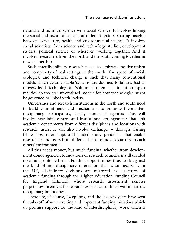natural and technical science with social science. It involves linking the social and technical aspects of different sectors, sharing insights between agriculture, health and environmental science. It involves social scientists, from science and technology studies, development studies, political science or wherever, working together. And it involves researchers from the north and the south coming together in new partnerships.

Such interdisciplinary research needs to embrace the dynamism and complexity of real settings in the south. The speed of social, ecological and technical change is such that many conventional models which assume stable 'systems' are doomed to failure. Just as universalised technological 'solutions' often fail to fit complex realities, so too do universalised models for how technologies might be governed or linked with society.

Universities and research institutions in the north and south need to build commitments and mechanisms to promote these interdisciplinary, participatory, locally connected agendas. This will involve new joint centres and institutional arrangements that link academic departments from different disciplines and locations with research 'users'. It will also involve exchanges – through visiting fellowships, internships and guided study periods – that enable researchers and users from different backgrounds to learn from each others' environments.

All this needs money, but much funding, whether from development donor agencies, foundations or research councils, is still divided up among outdated silos. Funding opportunities thus work against the kind of interdisciplinary interaction that is so necessary. In the UK, disciplinary divisions are mirrored by structures of academic funding through the Higher Education Funding Council for England (HEFCE), whose research assessment exercise perpetuates incentives for research excellence confined within narrow disciplinary boundaries.

There are, of course, exceptions, and the last few years have seen the take-off of some exciting and important funding initiatives which do promise support for the kind of interdisciplinary work which is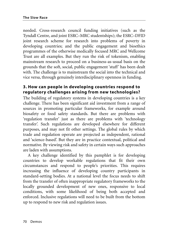needed. Cross-research council funding initiatives (such as the Tyndall Centre, and joint ESRC–MRC studentships); the ESRC–DFID joint research scheme for research into problems of poverty in developing countries; and the public engagement and bioethics programmes of the otherwise medically focused MRC and Wellcome Trust are all examples. But they run the risk of tokenism, enabling mainstream research to proceed on a business-as-usual basis on the grounds that the soft, social, public engagement 'stuff' has been dealt with. The challenge is to mainstream the social into the technical and vice versa, through genuinely interdisciplinary openness in funding.

# **3. How can people in developing countries respond to regulatory challenges arising from new technologies?**

The building of regulatory systems in developing countries is a key challenge. There has been significant aid investment from a range of sources in promoting particular frameworks, for example around biosafety or food safety standards. But there are problems with 'regulation transfer' just as there are problems with 'technology transfer'. Such regulations are developed elsewhere for different purposes, and may not fit other settings. The global rules by which trade and regulation operate are projected as independent, rational and 'science-based'. But they are in practice contextual, political and normative. By viewing risk and safety in certain ways such approaches are laden with assumptions.

A key challenge identified by this pamphlet is for developing countries to develop workable regulations that fit their own circumstances and respond to people's priorities. This requires increasing the influence of developing country participants in standard-setting bodies. At a national level the focus needs to shift from the transfer of often inappropriate regulatory frameworks to the locally grounded development of new ones, responsive to local conditions, with some likelihood of being both accepted and enforced. Inclusive regulations will need to be built from the bottom up to respond to new risk and regulation issues.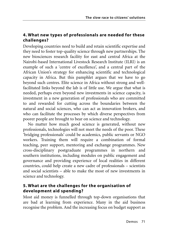# **4. What new types of professionals are needed for these challenges?**

Developing countries need to build and retain scientific expertise and they need to foster top-quality science through new partnerships. The new biosciences research facility for east and central Africa at the Nairobi-based International Livestock Research Institute (ILRI) is an example of such a 'centre of excellence', and a central part of the African Union's strategy for enhancing scientific and technological capacity in Africa. But this pamphlet argues that we have to go beyond such centres. Elite science in Africa without strong and wellfacilitated links beyond the lab is of little use. We argue that what is needed, perhaps even beyond new investments in science capacity, is investment in a new generation of professionals who are committed to and rewarded for cutting across the boundaries between the natural and social sciences, who can act as innovation brokers, and who can facilitate the processes by which diverse perspectives from poorer people are brought to bear on science and technology.

No matter how much good science is generated, without new professionals, technologies will not meet the needs of the poor. These 'bridging professionals' could be academics, public servants or NGO workers. Training them will require a combination of formal teaching, peer support, mentoring and exchange programmes. New cross-disciplinary postgraduate programmes in northern and southern institutions, including modules on public engagement and governance and providing experience of local realities in different countries, could help create a new cadre of professionals – scientists and social scientists – able to make the most of new investments in science and technology.

# **5. What are the challenges for the organisation of development aid spending?**

Most aid money is funnelled through top-down organisations that are bad at learning from experience. Many in the aid business recognise the problem. And the increasing focus on budget support as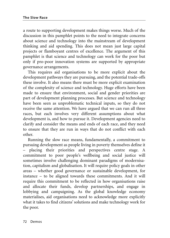a route to supporting development makes things worse. Much of the discussion in this pamphlet points to the need to integrate concerns about science and technology into the mainstream of development thinking and aid spending. This does not mean just large capital projects or flamboyant centres of excellence. The argument of this pamphlet is that science and technology can work for the poor but only if pro-poor innovation systems are supported by appropriate governance arrangements.

This requires aid organisations to be more explicit about the development pathways they are pursuing, and the potential trade-offs these involve. It also means there must be more explicit examination of the complexity of science and technology. Huge efforts have been made to ensure that environment, social and gender priorities are part of development planning processes. But science and technology have been seen as unproblematic technical inputs, so they do not receive the same attention. We have argued that we can run all three races, but each involves very different assumptions about what development is, and how to pursue it. Development agencies need to clarify and consider the means and ends of each race, and they need to ensure that they are run in ways that do not conflict with each other.

Running the slow race means, fundamentally, a commitment to pursuing development as people living in poverty themselves define it – placing their priorities and perspectives centre stage. A commitment to poor people's wellbeing and social justice will sometimes involve challenging dominant paradigms of modernisation, capitalism and globalisation. It will require policy goals in other areas – whether good governance or sustainable development, for instance – to be aligned towards these commitments. And it will require this commitment to be reflected in how organisations raise and allocate their funds, develop partnerships, and engage in lobbying and campaigning. As the global knowledge economy materialises, aid organisations need to acknowledge more explicitly what it takes to find citizens' solutions and make technology work for the poor.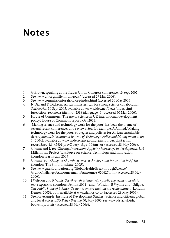# **Notes**

- 1 G Brown, speaking at the Trades Union Congress conference, 13 Sept 2005.<br>2 See www.un.org/millenniumgoals/ (accessed 29 May 2006).
- See www.un.org/millenniumgoals/ (accessed 29 May 2006).
- 3 See www.commissionforafrica.org/index.html (accessed 30 May 2006).
- 4 N Dia and D Dickson, 'Africa: ministers call for strong science collaboration', *SciDev.Net*, 30 Sept 2005, available at www.scidev.net/News/index.cfm? fuseaction=readnews&itemid=2388&language=1 (accessed 30 May 2006).
- 5 House of Commons, 'The use of science in UK international development policy', House of Commons report, Oct 2004.
- 6 'Making science and technology work for the poor' has been the theme of several recent conferences and reviews. See, for example, A Ahmed, 'Making technology work for the poor: strategies and policies for African sustainable development', *International Journal of Technology, Policy and Management* 4, no 1 (2004), available at: www.inderscience.com/search/index.php?action= record&rec\_id=4563&prevQuery=&ps=10&m=or (accessed 28 May 2006).
- 7 C Juma and L Yee-Cheong, *Innovation: Applying knowledge in development*, UN Millennium Project Task Force on Science, Technology and Innovation (London: Earthscan, 2005).
- 8 C Juma (ed), *Going for Growth: Science, technology and innovation in Africa* (London: The Smith Institute, 2005).
- 9 See www.gatesfoundation.org/GlobalHealth/BreakthroughScience/ GrandChallenges/Announcements/Announce-050627.htm (accessed 28 May 2006).
- 10 J Wilsdon and R Willis, *See-through Science: Why public engagement needs to move upstream* (London: Demos, 2004); and J Wilsdon, B Wynne and J Stilgoe, *The Public Value of Science: Or how to ensure that science really matters* (London: Demos, 2005), both available at www.demos.co.uk (accessed 28 May 2006).
- 11 See, for example, Institute of Development Studies, 'Science and citizens: global and local voices', *IDS Policy Briefing* 30, May 2006, see www.ids.ac.uk/ids/ bookshop/briefs (accessed 28 May 2006).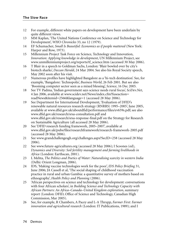- 12 For example, different white papers on development have been underlain by quite different views.
- 13 MM Kaplan, 'The United Nations Conference on Science and Technology for Development', *WHO Chronicles* 33, no 12 (1979).
- 14 EF Schumacher, *Small Is Beautiful: Economics as if people mattered* (New York: Harper and Row, 1973).
- 15 Millennium Project Task Force on Science, Technology and Innovation, *Innovation: Applying knowledge in development*, UN Millennium Project, see www.unmillenniumproject.org/reports/tf\_science.htm (accessed 30 May 2006).
- 16 T Blair in a speech to Goldman Sachs, London: 'Blair bowled over by city's biotech sharks', *Deccan Herald*, 24 Mar 2004. See also his Royal Society speech, May 2002 soon after his visit.
- 17 Numerous profiles have highlighted Bangalore as a 'hi-tech destination'. See, for example, 'Bangalore: Technopolis', *Business World*, 26 Feb 2001. But see also 'Booming computer sector seen as a mixed blessing', *Science*, 16 Dec 2005.
- 18 See TV Padma, 'Indian government says science needs rural focus', *SciDev.Net*, 4 Jan 2006, available at www.scidev.net/News/index.cfm?fuseaction= readNews&itemid=2566&language=1 (accessed 28 May 2006).
- 19 See Department for International Development, 'Evaluation of DFID's renewable natural resources research strategy (RNRRS) 1995–2005', June 2005, available at www.dfid.gov.uk/aboutdfid/performance/files/ev659s.pdf; see also www.dfid.gov.uk/research/srsa-consultation.pdf and www.dfid.gov.uk/research/srsa-response-final.pdf on the Strategy for Research on Sustainable Agriculture (all accessed 28 May 2006).
- 20 See 'DFID research funding framework, 2005–2007', available at www.dfid.gov.uk/pubs/files/researchframework/research-framework-2005.pdf (accessed 28 May 2006).
- 21 See www.grandchallengesgh.org/challenges.aspx?SecID=258 (accessed 28 May 2006).
- 22 See www.future-agricultures.org (accessed 28 May 2006); I Scoones (ed), *Dynamics and Diversity: Soil fertility management and farming livelihoods in Africa* (London: Earthscan, 2001).
- 23 L Mehta, *The Politics and Poetics of Water: Naturalising scarcity in western India* (Delhi: Orient Longman, 2006).
- 24 IDS, 'Making vaccine technologies work for the poor', *IDS Policy Briefing* 31, June 2006; JA Cassell et al, 'The social shaping of childhood vaccination practice in rural and urban Gambia: a quantitative survey of mothers based on ethnography', *Health Policy and Planning* (2006).
- 25 'African perspectives on science and technology for development: conversations with four African scholars', in *Building Science and Technology Capacity with African Partners: An Africa–Canada–United Kingdom exploration*, summary report (London: DFID, Office of Science and Technology, Canadian High Commission, Mar 2005).
- 26 See, for example, R Chambers, A Pacey and L-A Thrupp, *Farmer First: Farmer innovation and agricultural research* (London: IT Publications, 1989); and I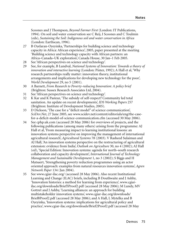Scoones and J Thompson, *Beyond Farmer First* (London: IT Publications, 1994). On soil and water conservation see C Reij, I Scoones and C Toulmin (eds), *Sustaining the Soil: Indigenous soil and water conservation in Africa* (London: Earthscan, 1996).

- 27 B Oyelaran-Oyeyinka, 'Partnerships for building science and technology capacity in Africa: African experience', 2005, paper presented at the meeting 'Building science and technology capacity with African partners: an Africa–Canada–UK exploration', Canada House, 30 Jan–1 Feb 2005.
- 28 See 'African perspectives on science and technology'.
- 29 See, for example, B Lundval, *National Systems of Innovation: Towards a theory of innovation and interactive learning* (London: Pinter, 1992); A Hall et al, 'Why research partnerships really matter: innovation theory, institutional arrangements and implications for developing new technology for the poor', *World Development* 29, no 5 (2001).
- 30 A Barnett, *From Research to Poverty-reducing Innovation: A policy brief* (Brighton: Sussex Research Associates Ltd, 2004).
- 31 See 'African perspectives on science and technology'.
- 32 K Kar and K Pasteur, 'The subsidy of self-respect? Community led total sanitation. An update on recent developments', *IDS Working Papers* 257 (Brighton: Institute of Development Studies, 2005).
- 33 D Dickson, 'The case for a "deficit model" of science communication', *SciDev.Net*, 27 June 2005, see www.scidev.net/content/editorials/eng/the-casefor-a-deficit-model-of-science-communication.cfm (accessed 30 May 2006).
- 34 See cphp.uk.com (accessed 28 May 2006) for overviews of projects, and the following publications (among many others) arising from the programme: AJ Hall et al, 'From measuring impact to learning institutional lessons: an innovation systems perspective on improving the management of international agricultural research', *Agricultural Systems* 78 (2003). V Rasheed Sulaiman and AJ Hall, 'An innovation systems perspective on the restructuring of agricultural extension: evidence from India', *Outlook on Agriculture* 30, no 4 (2002); AJ Hall (ed), 'Special Edition: Innovation systems: agenda for north–south research collaboration and capacity development', *International Journal of Technology Management and Sustainable Development* 1, no 3 (2002); S Biggs and H Matsaert, 'Strengthening poverty reduction programmes using an actor oriented approach: examples from natural resources innovation systems', *Agren Network Paper* 134 (Jan 2004).
- 35 See www.cgiar-ilac.org/ (accessed 28 May 2006). Also recent Institutional Learning and Change (ILAC) briefs, including B Douthwaite and J Ashby, 'Innovation histories: a method for learning from experience', www.cgiarilac.org/downloads/Brief5Proof2.pdf (accessed 28 May 2006); M Lundy, MV Gottret and J Ashby, 'Learning alliances: an approach for building multistakeholder innovation systems', www.cgiar-ilac.org/downloads/ Brief8Proof2.pdf (accessed 28 May 2006); and A Hall, L Mytelka and B Oyeyinka, 'Innovation systems: implications for agricultural policy and practice', www.cgiar-ilac.org/downloads/Brief2Proof2.pdf (accessed 28 May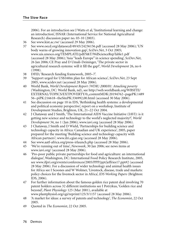2006). For an introduction see J Watts et al, 'Institutional learning and change: an introduction', ISNAR (International Service for National Agricultural Research) discussion paper no. 03-10 (2003).

- 36 See www.kist.ac.rw/ (accessed 29 May 2006).
- 37 See www.oecd.org/dataoecd/49/45/24236156.pdf (accessed 28 May 2006); 'UN body warns of growing innovation gap', *SciDev.Net*, 3 Oct 2005; www.uis.unesco.org/TEMPLATE/pdf/S&T/WdScienceRepTable1.pdf (accessed 28 May 2006); 'Asia "leads Europe" in science spending', *SciDev.Net*, 26 Jan 2006; CE Pray and D Umali-Deininger, 'The private sector in agricultural research systems: will it fill the gap?', *World Development* 26, no 6 (1998).
- 38 DFID, 'Research funding framework, 2005–7'.
- 39 'Support urged for US\$160m plan for African science', *SciDev.Net*, 23 Sept 2005, www.scidev.net (accessed 28 May 2006).
- 40 World Bank, *World Development Report (WDR) 2000/01: Attacking poverty* (Washington, DC: World Bank, nd), see http://web.worldbank.org/WBSITE/ EXTERNAL/TOPICS/EXTPOVERTY/0,,contentMDK:20194762~pagePK:1489 56~piPK:216618~theSitePK:336992,00.html (accessed 30 May 2006).
- 41 See discussion on page 10 in IDS, 'Rethinking health systems: a developmental and political economy perspective', report on a workshop, Institute of Development Studies, Brighton, UK, 21–22 Oct 2004.
- 42 J Chataway and J Smith, 'The International AIDS Vaccine Initiative (IAVI): is it getting new science and technology to the world's neglected majority?', *World Development* 34, no 1 (Jan 2006); www.iavi.org (accessed 28 May 2006).
- 43 J Chataway, J Smith and D Wield, 'Partnerships for building science and technology capacity in Africa: Canadian and UK experience', 2005, paper prepared for the meeting 'Building science and technology capacity with African partners'; www.ilri.cgiar.org (accessed 28 May 2006).
- 44 See www.aatf-africa.org/press-irlaunch.php (accessed 28 May 2006).
- 45 'We're running out of time', *Newsweek*, 30 Jan 2006; see news items at www.iavi.org/ (accessed 28 May 2006).
- 46 'Pro-poor public private partnerships for food and agriculture: an international dialogue', Washington, DC: International Food Policy Research Institute, 2005, see www.ifpri.org/events/conferences/2005/PPP/ppt/jeffries17.ppt#2 (accessed 28 May 2006). For a discussion of wider technology and animal health issues for Africa see I Scoones and W Wolmer, 'Livestock, disease, trade and markets: policy choices for the livestock sector in Africa', *IDS Working Papers* (Brighton: IDS, 2006).
- 47 For further information about the famous golden rice patent deal involving 70 patent holders across 32 different institutions see I Potrykus, 'Golden rice and beyond', *Plant Physiology* 125 (Mar 2001), available at
	- www.plantphysiol.org/cgi/reprint/125/3/1157 (accessed 28 May 2006).
- 48 'A market for ideas: a survey of patents and technology', *The Economist*, 22 Oct 2005.
- 49 Quoted in *The Economist*, 22 Oct 2005.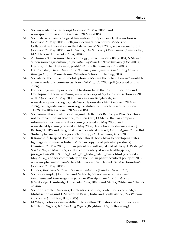- 50 See www.adelphicharter.org/ (accessed 28 May 2006) and www.iprcommission.org (accessed 28 May 2006).
- 51 See materials from Biological Innovation for Open Society at www.bios.net (accessed 28 May 2006); Bellagio meeting 'Open Source Models of Collaborative Innovation in the Life Sciences', Sept 2005; see www.merid.org (accessed 28 May 2006); and S Weber, *The Success of Open Source* (Cambridge, MA: Harvard University Press, 2004).
- 52 Z Thomas, 'Open source biotechnology', *Current Science* 88 (2005); N Steward, 'Open source agriculture', *Information Systems for Biotechnology* (Dec 2005); S Herrera, 'Richard Jefferson, profile', *Nature Biotechnology* 23 (2005).
- 53 CK Prahalad, *The Fortune at the Bottom of the Pyramid: Eradicating poverty through profits* (Pennsylvania: Wharton School Publishing, 2004).
- 54 See 'Africa: the impact of mobile phones. Moving the debate forward', available at www.vodafone.com/assets/files/en/AIMP\_17032005.pdf (accessed 3 June 2006).
- 55 For briefings and reports, see publications from the Communications and Development theme at Panos, www.panos.org.uk/global/reportsection.asp?ID =1002 (accessed 28 May 2006). For cases on Bangladesh, see: www.developments.org.uk/data/issue31/loose-talk.htm (accessed 28 May 2006); on Uganda www.panos.org.uk/global/featuredetails.asp?featureid= 1157&ID=1002 (accessed 28 May 2006).
- 56 See commentary: 'Patent cases against Dr Reddy's Ranbaxy Pfizer's victory not to impact Indian generica', *Business Line*, 13 Mar 2004. For company information see: www.ranbaxy.com (accessed 28 May 2006) and www.drreddys.com (accessed 28 May 2006). For a broader discussion see J Barton, 'TRIPS and the global pharmaceutical market', *Health Affairs* 23 (2004).
- 57 'Indian pharmaceuticals: good chemistry', *The Economist*, 4 Feb 2006.
- 58 R Ramesh, 'Cheap AIDS drugs under threat: body blow to developing states' fight against disease as Indian MPs ban copying of patented products', *Guardian*, 23 Mar 2005; 'Indian patent law will signal end of cheap HIV drugs', *SciDev.Net*, 23 Mar 2005; see also commentary at www.healthgap.org/ press\_releases/05/091905\_HGAP\_BP\_India\_patent\_baker.html (accessed 28 May 2006); and for commentary on the Indian pharmaceutical policy of 2002 see www.pharmabiz.com/article/detnews.asp?articleid=11395&sectionid=46 (accessed 28 May 2006).
- 59 U Beck, *Risk Society: Towards a new modernity* (London: Sage, 1992).
- 60 See, for example, J Fairhead and M Leach, *Science, Society and Power: Environmental knowledge and policy in West Africa and the Caribbean* (Cambridge: Cambridge University Press, 2003) and Mehta, *Politics and Poetics of Water*.
- 61 See for example, I Scoones, 'Contentious politics, contentious knowledges. Mobilisation against GM crops in Brazil, India and South Africa', *IDS Working Papers* 256 (Brighton, IDS, 2005).
- 62 M Yahya, 'Polio vaccines difficult to swallow? The story of a controversy in Northern Nigeria', *IDS Working Papers* (Brighton: IDS, forthcoming).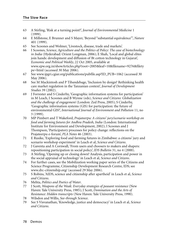- 63 A Stirling, 'Risk at a turning point?', *Journal of Environmental Medicine* 1  $(1999)$ .
- 64 E Millstone, E Brunner and S Mayer, 'Beyond "substantial equivalence"', *Nature* 401 (1999).
- 65 See Scoones and Wolmer, 'Livestock, disease, trade and markets'.
- 66 I Scoones, *Science, Agriculture and the Politics of Policy: The case of biotechnology in India* (Hyderabad: Orient Longman, 2006); E Shah, 'Local and global elites join hands: development and diffusion of Bt cotton technology in Gujarat', *Economic and Political Weekly*, 22 Oct 2005, available at www.epw.org.in/showArticles.php?root=2005&leaf=10&filename=9276&filety pe=html (accessed 30 May 2006).
- 67 See www.ipgri.cgiar.org/publications/pubfile.asp?ID\_PUB=1062 (accessed 30 May 2006).
- 68 See M Mackintosh and P Tibandebage, 'Inclusion by design? Rethinking health care market regulation in the Tanzanian context', *Journal of Development Studies* 39 (2002).
- 69 J Forrester and S Cinderby, 'Geographic information systems for participation' in M Leach, I Scoones and B Wynne (eds), *Science and Citizens: Globalization and the challenge of engagement* (London: Zed Press, 2005); S Cinderby, 'Geographic information systems (GIS) for participation: the future of environmental GIS?', *International Journal of Environment and Pollution* 11, no 3 (1999).
- 70 MP Pimbert and T Wakeford, *Prajateerpu: A citizens' jury/scenario workshop on food and farming futures for Andhra Pradesh, India* (London: International Institute for Environment and Development, 2002); I Scoones and J Thompson, 'Participatory processes for policy change: reflections on the Prajateerpu e-forum', *PLA Notes* 46 (2003).
- 71 E Rusike, 'Exploring food and farming futures in Zimbabwe: a citizens' jury and scenario workshop experiment' in Leach et al, *Science and Citizens*.
- 72 J Gaventa and A Cornwall, 'From users and choosers to makers and shapers: repositioning participation in social policy', *IDS Bulletin* 31, no 4 (2000).
- 73 A Stirling, 'Opening up or closing down? Analysis, participation and power in the social appraisal of technology' in Leach et al, *Science and Citizens*.
- 74 For further cases, see the Mobilization working paper series of the Citizens and Science Programme, Citizenship Development Research Centre, IDS; see www.drc-citizenship.org/ (accessed 29 May 2006).
- 75 S Robins, 'AIDS, science and citizenship after apartheid' in Leach et al, *Science and Citizens*.
- 76 Mehta, *Politics and Poetics of Water*.
- 77 J Scott, *Weapons of the Weak: Everyday strategies of peasant resistance* (New Haven: Yale University Press, 1985); J Scott, *Domination and the Arts of Resistance: Hidden transcripts* (New Haven: Yale University Press, 1990).
- 78 Wilsdon and Willis, *See-through Science*.
- 79 See S Visvanathan, 'Knowledge, justice and democracy' in Leach et al, *Science and Citizens*.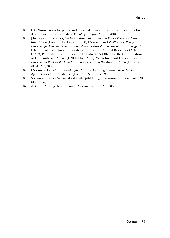- 80 IDS, 'Immersions for policy and personal change: reflection and learning for development professionals', *IDS Policy Briefing* 22, July 2004.
- 81 J Keeley and I Scoones, *Understanding Environmental Policy Processes: Cases from Africa* (London: Earthscan, 2003); I Scoones and W Wolmer, *Policy Processes for Veterinary Services in Africa: A workshop report and training guide* (Nairobi: African Union Inter-African Bureau for Animal Resources (AU-IBAR), Pastoralist Communication Initiative/UN Office for the Coordination of Humanitarian Affairs (UNOCHA), 2005); W Wolmer and I Scoones, *Policy Processes in the Livestock Sector: Experiences from the African Union* (Nairobi: AU-IBAR, 2005).
- 82 I Scoones et al, *Hazards and Opportunities. Farming Livelihoods in Dryland Africa. Cases from Zimbabwe* (London: Zed Press, 1996).
- 83 See www.uz.ac.zw/science/biology/trep/MTRE\_programme.html (accessed 30 May 2006).
- 84 A Kluth, 'Among the audience', *The Economist*, 20 Apr 2006.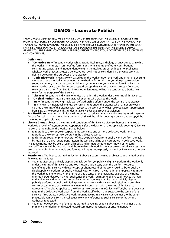# **DEMOS – Licence to Publish**

THE WORK (AS DEFINED BELOW) IS PROVIDED UNDER THE TERMS OF THIS LICENCE ("LICENCE").THE WORK IS PROTECTED BY COPYRIGHT AND/OR OTHER APPLICABLE LAW. ANY USE OF THE WORK OTHER THAN AS AUTHORIZED UNDER THIS LICENCE IS PROHIBITED. BY EXERCISING ANY RIGHTS TO THE WORK PROVIDED HERE,YOU ACCEPT AND AGREE TO BE BOUND BY THE TERMS OF THIS LICENCE. DEMOS GRANTS YOU THE RIGHTS CONTAINED HERE IN CONSIDERATION OF YOUR ACCEPTANCE OF SUCH TERMS AND CONDITIONS.

## **1. Definitions**

- **a** "Collective Work" means a work, such as a periodical issue, anthology or encyclopedia, in which the Work in its entirety in unmodified form, along with a number of other contributions, constituting separate and independent works in themselves, are assembled into a collective whole. A work that constitutes a Collective Work will not be considered a Derivative Work (as defined below) for the purposes of this Licence.
- **b "Derivative Work"** means a work based upon the Work or upon the Work and other pre-existing works, such as a musical arrangement, dramatization, fictionalization, motion picture version, sound recording, art reproduction, abridgment, condensation, or any other form in which the Work may be recast, transformed, or adapted, except that a work that constitutes a Collective Work or a translation from English into another language will not be considered a Derivative Work for the purpose of this Licence.
- **c "Licensor"** means the individual or entity that offers the Work under the terms of this Licence.
- **d "Original Author"** means the individual or entity who created the Work.
- **e "Work"** means the copyrightable work of authorship offered under the terms of this Licence.
- **f "You"** means an individual or entity exercising rights under this Licence who has not previously violated the terms of this Licence with respect to the Work, or who has received express permission from DEMOS to exercise rights under this Licence despite a previous violation.
- **2. Fair Use Rights.**Nothing in this licence is intended to reduce, limit, or restrict any rights arising from fair use, first sale or other limitations on the exclusive rights of the copyright owner under copyright law or other applicable laws.
- **3. Licence Grant.** Subject to the terms and conditions of this Licence, Licensor hereby grants You a worldwide, royalty-free, non-exclusive, perpetual (for the duration of the applicable copyright) licence to exercise the rights in the Work as stated below:
	- **a** to reproduce the Work, to incorporate the Work into one or more Collective Works, and to reproduce the Work as incorporated in the Collective Works;
	- **b** to distribute copies or phonorecords of, display publicly, perform publicly, and perform publicly by means of a digital audio transmission the Work including as incorporated in Collective Works; The above rights may be exercised in all media and formats whether now known or hereafter devised.The above rights include the right to make such modifications as are technically necessary to exercise the rights in other media and formats. All rights not expressly granted by Licensor are hereby
- reserved. **4. Restrictions.** The licence granted in Section 3 above is expressly made subject to and limited by the following restrictions:
	- **a** You may distribute, publicly display, publicly perform, or publicly digitally perform the Work only under the terms of this Licence, and You must include a copy of, or the Uniform Resource Identifier for, this Licence with every copy or phonorecord of the Work You distribute, publicly display, publicly perform, or publicly digitally perform.You may not offer or impose any terms on the Work that alter or restrict the terms of this Licence or the recipients' exercise of the rights granted hereunder.You may not sublicence the Work.You must keep intact all notices that refer to this Licence and to the disclaimer of warranties.You may not distribute, publicly display, publicly perform, or publicly digitally perform the Work with any technological measures that control access or use of the Work in a manner inconsistent with the terms of this Licence Agreement.The above applies to the Work as incorporated in a Collective Work, but this does not require the Collective Work apart from the Work itself to be made subject to the terms of this Licence. If You create a Collective Work, upon notice from any Licencor You must, to the extent practicable, remove from the Collective Work any reference to such Licensor or the Original Author, as requested.
	- **b** You may not exercise any of the rights granted to You in Section 3 above in any manner that is primarily intended for or directed toward commercial advantage or private monetary